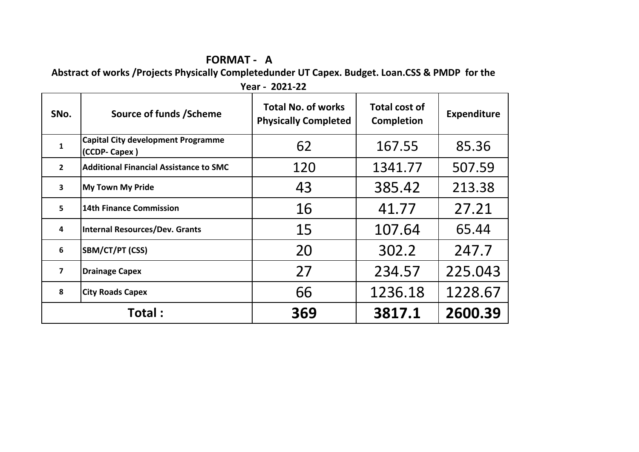## **FORMAT - A**

**Abstract of works /Projects Physically Completedunder UT Capex. Budget. Loan.CSS & PMDP for the** 

| SNo.                    | Source of funds / Scheme                                   | <b>Total No. of works</b><br><b>Physically Completed</b> | <b>Total cost of</b><br><b>Completion</b> | <b>Expenditure</b> |
|-------------------------|------------------------------------------------------------|----------------------------------------------------------|-------------------------------------------|--------------------|
| $\mathbf{1}$            | <b>Capital City development Programme</b><br>(CCDP- Capex) | 62                                                       | 167.55                                    | 85.36              |
| $\overline{2}$          | <b>Additional Financial Assistance to SMC</b>              | 120                                                      | 1341.77                                   | 507.59             |
| $\overline{\mathbf{3}}$ | <b>My Town My Pride</b>                                    | 43                                                       | 385.42                                    | 213.38             |
| 5                       | 14th Finance Commission                                    | 16                                                       | 41.77                                     | 27.21              |
| 4                       | <b>Internal Resources/Dev. Grants</b>                      | 15                                                       | 107.64                                    | 65.44              |
| 6                       | SBM/CT/PT (CSS)                                            | 20                                                       | 302.2                                     | 247.7              |
| $\overline{\mathbf{z}}$ | <b>Drainage Capex</b>                                      | 27                                                       | 234.57                                    | 225.043            |
| 8                       | <b>City Roads Capex</b>                                    | 66                                                       | 1236.18                                   | 1228.67            |
|                         | Total :                                                    | 369                                                      | 3817.1                                    | 2600.39            |

**Year - 2021-22**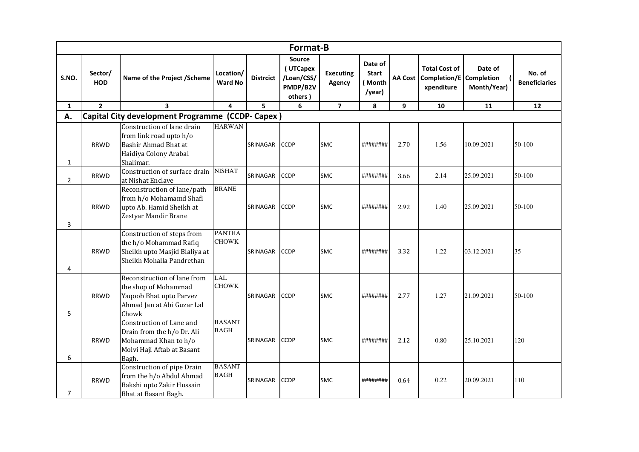|                |                       |                                                                                                                       |                               |                  | <b>Format-B</b>                                                |                            |                                             |                |                                                               |                        |                                |
|----------------|-----------------------|-----------------------------------------------------------------------------------------------------------------------|-------------------------------|------------------|----------------------------------------------------------------|----------------------------|---------------------------------------------|----------------|---------------------------------------------------------------|------------------------|--------------------------------|
| S.NO.          | Sector/<br><b>HOD</b> | Name of the Project / Scheme                                                                                          | Location/<br><b>Ward No</b>   | <b>Distrcict</b> | <b>Source</b><br>(UTCapex<br>/Loan/CSS/<br>PMDP/B2V<br>others) | <b>Executing</b><br>Agency | Date of<br><b>Start</b><br>(Month<br>/year) | <b>AA Cost</b> | <b>Total Cost of</b><br>Completion/E Completion<br>xpenditure | Date of<br>Month/Year) | No. of<br><b>Beneficiaries</b> |
| $\mathbf{1}$   | $\overline{2}$        | $\overline{\mathbf{3}}$                                                                                               | 4                             | 5                | 6                                                              | $\overline{7}$             | 8                                           | 9              | 10                                                            | 11                     | 12                             |
| А.             |                       | Capital City development Programme (CCDP-Capex)                                                                       |                               |                  |                                                                |                            |                                             |                |                                                               |                        |                                |
| $\mathbf{1}$   | <b>RRWD</b>           | Construction of lane drain<br>from link road upto h/o<br>Bashir Ahmad Bhat at<br>Haidiya Colony Arabal<br>Shalimar.   | <b>HARWAN</b>                 | SRINAGAR         | <b>CCDP</b>                                                    | <b>SMC</b>                 | ########                                    | 2.70           | 1.56                                                          | 10.09.2021             | 50-100                         |
| $\overline{2}$ | <b>RRWD</b>           | Construction of surface drain<br>at Nishat Enclave                                                                    | <b>NISHAT</b>                 | SRINAGAR         | <b>CCDP</b>                                                    | <b>SMC</b>                 | ########                                    | 3.66           | 2.14                                                          | 25.09.2021             | 50-100                         |
| 3              | <b>RRWD</b>           | Reconstruction of lane/path<br>from h/o Mohamamd Shafi<br>upto Ab. Hamid Sheikh at<br>Zestyar Mandir Brane            | <b>BRANE</b>                  | SRINAGAR         | <b>CCDP</b>                                                    | <b>SMC</b>                 | ########                                    | 2.92           | 1.40                                                          | 25.09.2021             | 50-100                         |
| 4              | <b>RRWD</b>           | Construction of steps from<br>the h/o Mohammad Rafiq<br>Sheikh upto Masjid Bialiya at<br>Sheikh Mohalla Pandrethan    | <b>PANTHA</b><br><b>CHOWK</b> | SRINAGAR         | <b>CCDP</b>                                                    | SMC                        | ########                                    | 3.32           | 1.22                                                          | 03.12.2021             | 35                             |
| 5              | <b>RRWD</b>           | Reconstruction of lane from<br>the shop of Mohammad<br>Yaqoob Bhat upto Parvez<br>Ahmad Jan at Abi Guzar Lal<br>Chowk | LAL<br><b>CHOWK</b>           | SRINAGAR         | <b>CCDP</b>                                                    | <b>SMC</b>                 | ########                                    | 2.77           | 1.27                                                          | 21.09.2021             | 50-100                         |
| 6              | <b>RRWD</b>           | Construction of Lane and<br>Drain from the h/o Dr. Ali<br>Mohammad Khan to h/o<br>Molvi Haji Aftab at Basant<br>Bagh. | <b>BASANT</b><br><b>BAGH</b>  | SRINAGAR         | <b>CCDP</b>                                                    | <b>SMC</b>                 | #########                                   | 2.12           | 0.80                                                          | 25.10.2021             | 120                            |
| 7              | <b>RRWD</b>           | Construction of pipe Drain<br>from the h/o Abdul Ahmad<br>Bakshi upto Zakir Hussain<br>Bhat at Basant Bagh.           | <b>BASANT</b><br><b>BAGH</b>  | SRINAGAR         | <b>CCDP</b>                                                    | <b>SMC</b>                 | ########                                    | 0.64           | 0.22                                                          | 20.09.2021             | 110                            |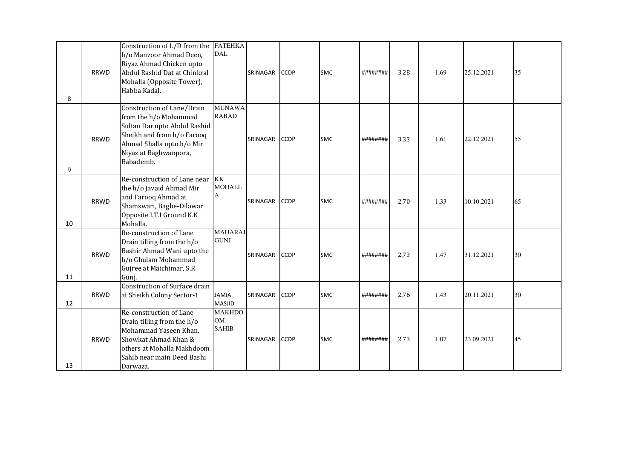| 8  | <b>RRWD</b> | Construction of L/D from the<br>h/o Manzoor Ahmad Deen,<br>Riyaz Ahmad Chicken upto<br>Abdul Rashid Dat at Chinkral<br>Mohalla (Opposite Tower),<br>Habba Kadal.                     | <b>FATEHKA</b><br>DAL                      | SRINAGAR | <b>CCDP</b> | <b>SMC</b> | ########  | 3.28 | 1.69 | 25.12.2021 | 35 |
|----|-------------|--------------------------------------------------------------------------------------------------------------------------------------------------------------------------------------|--------------------------------------------|----------|-------------|------------|-----------|------|------|------------|----|
| 9  | <b>RRWD</b> | Construction of Lane/Drain<br>from the h/o Mohammad<br>Sultan Dar upto Abdul Rashid<br>Sheikh and from h/o Farooq<br>Ahmad Shalla upto h/o Mir<br>Niyaz at Baghwanpora,<br>Babademb. | <b>MUNAWA</b><br><b>RABAD</b>              | SRINAGAR | <b>CCDP</b> | <b>SMC</b> | ######### | 3.33 | 1.61 | 22.12.2021 | 55 |
| 10 | <b>RRWD</b> | Re-construction of Lane near<br>the h/o Javaid Ahmad Mir<br>and Farooq Ahmad at<br>Shamswari, Baghe-Dilawar<br>Opposite I.T.I Ground K.K<br>Mohalla.                                 | <b>KK</b><br><b>MOHALL</b><br>A            | SRINAGAR | <b>CCDP</b> | <b>SMC</b> | ########  | 2.70 | 1.33 | 10.10.2021 | 65 |
| 11 | <b>RRWD</b> | Re-construction of Lane<br>Drain tilling from the h/o<br>Bashir Ahmad Wani upto the<br>h/o Ghulam Mohammad<br>Gujree at Maichimar, S.R<br>Gunj.                                      | <b>MAHARAJ</b><br><b>GUNJ</b>              | SRINAGAR | <b>CCDP</b> | <b>SMC</b> | ########  | 2.73 | 1.47 | 31.12.2021 | 30 |
| 12 | <b>RRWD</b> | <b>Construction of Surface drain</b><br>at Sheikh Colony Sector-1                                                                                                                    | <b>JAMIA</b><br><b>MASJID</b>              | SRINAGAR | <b>CCDP</b> | <b>SMC</b> | ########  | 2.76 | 1.43 | 20.11.2021 | 30 |
| 13 | <b>RRWD</b> | Re-construction of Lane<br>Drain tilling from the h/o<br>Mohammad Yaseen Khan,<br>Showkat Ahmad Khan &<br>others at Mohalla Makhdoom<br>Sahib near main Deed Bashi<br>Darwaza.       | <b>MAKHDO</b><br><b>OM</b><br><b>SAHIB</b> | SRINAGAR | <b>CCDP</b> | <b>SMC</b> | ########  | 2.73 | 1.07 | 23.09.2021 | 45 |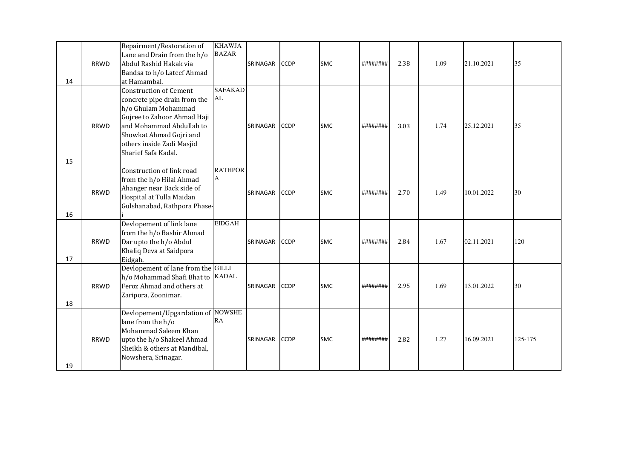|    |             | Repairment/Restoration of          | <b>KHAWJA</b>  |          |             |            |          |      |      |            |         |
|----|-------------|------------------------------------|----------------|----------|-------------|------------|----------|------|------|------------|---------|
|    |             | Lane and Drain from the h/o        | <b>BAZAR</b>   |          |             |            |          |      |      |            |         |
|    | <b>RRWD</b> | Abdul Rashid Hakak via             |                | SRINAGAR | <b>CCDP</b> | <b>SMC</b> | ######## | 2.38 | 1.09 | 21.10.2021 | 35      |
|    |             | Bandsa to h/o Lateef Ahmad         |                |          |             |            |          |      |      |            |         |
| 14 |             | at Hamambal.                       |                |          |             |            |          |      |      |            |         |
|    |             | <b>Construction of Cement</b>      | <b>SAFAKAD</b> |          |             |            |          |      |      |            |         |
|    |             | concrete pipe drain from the       | AL             |          |             |            |          |      |      |            |         |
|    |             | h/o Ghulam Mohammad                |                |          |             |            |          |      |      |            |         |
|    |             | Gujree to Zahoor Ahmad Haji        |                |          |             |            |          |      |      |            |         |
|    | <b>RRWD</b> | and Mohammad Abdullah to           |                | SRINAGAR | <b>CCDP</b> | <b>SMC</b> | ######## | 3.03 | 1.74 | 25.12.2021 | 35      |
|    |             | Showkat Ahmad Gojri and            |                |          |             |            |          |      |      |            |         |
|    |             | others inside Zadi Masjid          |                |          |             |            |          |      |      |            |         |
|    |             | Sharief Safa Kadal.                |                |          |             |            |          |      |      |            |         |
| 15 |             |                                    |                |          |             |            |          |      |      |            |         |
|    |             | Construction of link road          | <b>RATHPOR</b> |          |             |            |          |      |      |            |         |
|    |             | from the h/o Hilal Ahmad           | A              |          |             |            |          |      |      |            |         |
|    |             | Ahanger near Back side of          |                |          |             |            |          |      |      |            |         |
|    | <b>RRWD</b> | Hospital at Tulla Maidan           |                | SRINAGAR | <b>CCDP</b> | <b>SMC</b> | ######## | 2.70 | 1.49 | 10.01.2022 | 30      |
|    |             | Gulshanabad, Rathpora Phase-       |                |          |             |            |          |      |      |            |         |
| 16 |             |                                    |                |          |             |            |          |      |      |            |         |
|    |             | Devlopement of link lane           | <b>EIDGAH</b>  |          |             |            |          |      |      |            |         |
|    |             | from the h/o Bashir Ahmad          |                |          |             |            |          |      |      |            |         |
|    | <b>RRWD</b> | Dar upto the h/o Abdul             |                | SRINAGAR | <b>CCDP</b> | <b>SMC</b> | ######## | 2.84 | 1.67 | 02.11.2021 | 120     |
|    |             | Khaliq Deva at Saidpora            |                |          |             |            |          |      |      |            |         |
| 17 |             | Eidgah.                            |                |          |             |            |          |      |      |            |         |
|    |             | Devlopement of lane from the GILLI |                |          |             |            |          |      |      |            |         |
|    |             | h/o Mohammad Shafi Bhat to KADAL   |                |          |             |            |          |      |      |            |         |
|    | <b>RRWD</b> | Feroz Ahmad and others at          |                | SRINAGAR | <b>CCDP</b> | SMC        | ######## | 2.95 | 1.69 | 13.01.2022 | 30      |
|    |             | Zaripora, Zoonimar.                |                |          |             |            |          |      |      |            |         |
| 18 |             |                                    |                |          |             |            |          |      |      |            |         |
|    |             | Devlopement/Upgardation of NOWSHE  |                |          |             |            |          |      |      |            |         |
|    |             | lane from the h/o                  | RA             |          |             |            |          |      |      |            |         |
|    |             | Mohammad Saleem Khan               |                |          |             |            |          |      |      |            |         |
|    | RRWD        | upto the h/o Shakeel Ahmad         |                | SRINAGAR | <b>CCDP</b> | <b>SMC</b> | ######## | 2.82 | 1.27 | 16.09.2021 | 125-175 |
|    |             | Sheikh & others at Mandibal,       |                |          |             |            |          |      |      |            |         |
|    |             | Nowshera, Srinagar.                |                |          |             |            |          |      |      |            |         |
| 19 |             |                                    |                |          |             |            |          |      |      |            |         |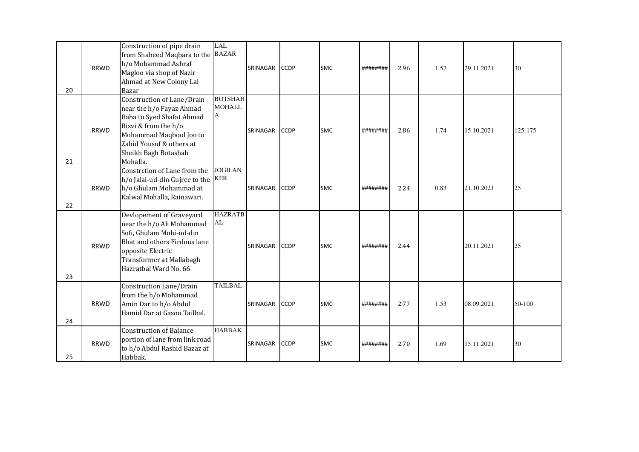| 20 | <b>RRWD</b> | Construction of pipe drain<br>from Shaheed Maqbara to the<br>h/o Mohammad Ashraf<br>Magloo via shop of Nazir<br>Ahmad at New Colony Lal<br>Bazar                                                       | <b>LAL</b><br><b>BAZAR</b>           | <b>SRINAGAR</b> | <b>CCDP</b> | <b>SMC</b> | ########  | 2.96 | 1.52 | 29.11.2021 | 30      |
|----|-------------|--------------------------------------------------------------------------------------------------------------------------------------------------------------------------------------------------------|--------------------------------------|-----------------|-------------|------------|-----------|------|------|------------|---------|
| 21 | <b>RRWD</b> | Construction of Lane/Drain<br>near the h/o Fayaz Ahmad<br>Baba to Syed Shafat Ahmad<br>Rizvi & from the h/o<br>Mohammad Maqbool Joo to<br>Zahid Yousuf & others at<br>Sheikh Bagh Botashah<br>Mohalla. | <b>BOTSHAH</b><br><b>MOHALL</b><br>A | SRINAGAR        | <b>CCDP</b> | <b>SMC</b> | ########  | 2.86 | 1.74 | 15.10.2021 | 125-175 |
| 22 | <b>RRWD</b> | Constrction of Lane from the<br>h/o Jalal-ud-din Gujree to the<br>h/o Ghulam Mohammad at<br>Kalwal Mohalla, Rainawari.                                                                                 | <b>JOGILAN</b><br><b>KER</b>         | <b>SRINAGAR</b> | <b>CCDP</b> | <b>SMC</b> | ######### | 2.24 | 0.83 | 21.10.2021 | 25      |
| 23 | <b>RRWD</b> | Devlopement of Graveyard<br>near the h/o Ali Mohammad<br>Sofi, Ghulam Mohi-ud-din<br>Bhat and others Firdous lane<br>opposite Electric<br>Transformer at Mallabagh<br>Hazratbal Ward No. 66            | <b>HAZRATB</b><br>AL                 | SRINAGAR        | <b>CCDP</b> | <b>SMC</b> | ########  | 2.44 |      | 20.11.2021 | 25      |
| 24 | <b>RRWD</b> | Construction Lane/Drain<br>from the h/o Mohammad<br>Amin Dar to h/o Abdul<br>Hamid Dar at Gasoo Tailbal.                                                                                               | <b>TAILBAL</b>                       | SRINAGAR        | <b>CCDP</b> | <b>SMC</b> | ########  | 2.77 | 1.53 | 08.09.2021 | 50-100  |
| 25 | <b>RRWD</b> | <b>Construction of Balance</b><br>portion of lane from link road<br>to h/o Abdul Rashid Bazaz at<br>Habbak.                                                                                            | <b>HABBAK</b>                        | SRINAGAR        | <b>CCDP</b> | <b>SMC</b> | ########  | 2.70 | 1.69 | 15.11.2021 | 30      |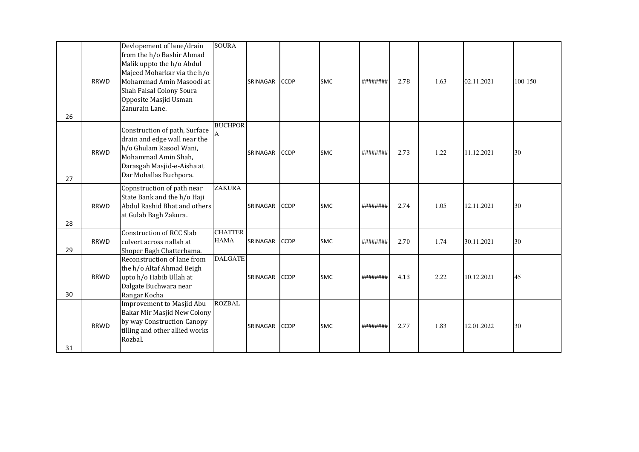| 26 | <b>RRWD</b> | Devlopement of lane/drain<br>from the h/o Bashir Ahmad<br>Malik uppto the h/o Abdul<br>Majeed Moharkar via the h/o<br>Mohammad Amin Masoodi at<br>Shah Faisal Colony Soura<br>Opposite Masjid Usman<br>Zanurain Lane. | <b>SOURA</b>                  | SRINAGAR | <b>CCDP</b> | <b>SMC</b> | ######### | 2.78 | 1.63 | 02.11.2021 | $100 - 150$ |
|----|-------------|-----------------------------------------------------------------------------------------------------------------------------------------------------------------------------------------------------------------------|-------------------------------|----------|-------------|------------|-----------|------|------|------------|-------------|
| 27 | <b>RRWD</b> | Construction of path, Surface<br>drain and edge wall near the<br>h/o Ghulam Rasool Wani,<br>Mohammad Amin Shah,<br>Darasgah Masjid-e-Aisha at<br>Dar Mohallas Buchpora.                                               | <b>BUCHPOR</b>                | SRINAGAR | <b>CCDP</b> | <b>SMC</b> | ########  | 2.73 | 1.22 | 11.12.2021 | 30          |
| 28 | <b>RRWD</b> | Copnstruction of path near<br>State Bank and the h/o Haji<br>Abdul Rashid Bhat and others<br>at Gulab Bagh Zakura.                                                                                                    | <b>ZAKURA</b>                 | SRINAGAR | <b>CCDP</b> | <b>SMC</b> | ######### | 2.74 | 1.05 | 12.11.2021 | 30          |
| 29 | <b>RRWD</b> | <b>Construction of RCC Slab</b><br>culvert across nallah at<br>Shoper Bagh Chatterhama.                                                                                                                               | <b>CHATTER</b><br><b>HAMA</b> | SRINAGAR | <b>CCDP</b> | <b>SMC</b> | ########  | 2.70 | 1.74 | 30.11.2021 | 30          |
| 30 | <b>RRWD</b> | Reconstruction of lane from<br>the h/o Altaf Ahmad Beigh<br>upto h/o Habib Ullah at<br>Dalgate Buchwara near<br>Rangar Kocha                                                                                          | <b>DALGATE</b>                | SRINAGAR | <b>CCDP</b> | <b>SMC</b> | ######### | 4.13 | 2.22 | 10.12.2021 | 45          |
| 31 | <b>RRWD</b> | Improvement to Masjid Abu<br>Bakar Mir Masjid New Colony<br>by way Construction Canopy<br>tilling and other allied works<br>Rozbal.                                                                                   | <b>ROZBAL</b>                 | SRINAGAR | <b>CCDP</b> | <b>SMC</b> | ########  | 2.77 | 1.83 | 12.01.2022 | 30          |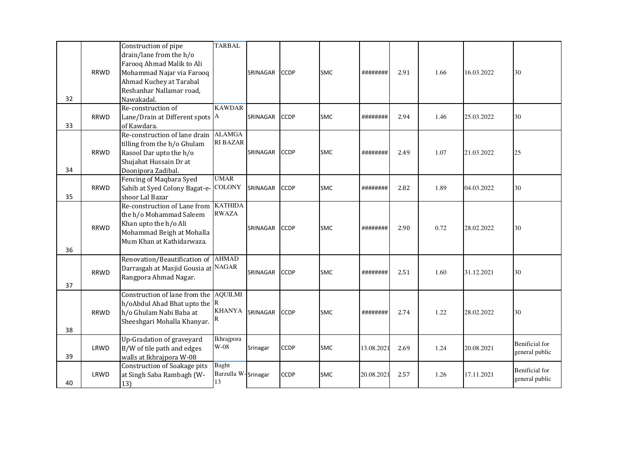|    |             | Construction of pipe                | <b>TARBAL</b>       |                 |             |            |            |      |      |            |                       |
|----|-------------|-------------------------------------|---------------------|-----------------|-------------|------------|------------|------|------|------------|-----------------------|
|    |             | drain/lane from the h/o             |                     |                 |             |            |            |      |      |            |                       |
|    |             | Farooq Ahmad Malik to Ali           |                     |                 |             |            |            |      |      |            |                       |
|    | <b>RRWD</b> | Mohammad Najar via Farooq           |                     | SRINAGAR        | <b>CCDP</b> | <b>SMC</b> | ########   | 2.91 | 1.66 | 16.03.2022 | 30                    |
|    |             | Ahmad Kuchey at Tarabal             |                     |                 |             |            |            |      |      |            |                       |
|    |             | Reshanhar Nallamar road,            |                     |                 |             |            |            |      |      |            |                       |
| 32 |             | Nawakadal.                          |                     |                 |             |            |            |      |      |            |                       |
|    |             | Re-construction of                  | <b>KAWDAR</b>       |                 |             |            |            |      |      |            |                       |
|    | <b>RRWD</b> | Lane/Drain at Different spots $A$   |                     | SRINAGAR        | <b>CCDP</b> | <b>SMC</b> | ########   | 2.94 | 1.46 | 25.03.2022 | 30                    |
| 33 |             | of Kawdara.                         |                     |                 |             |            |            |      |      |            |                       |
|    |             | Re-construction of lane drain       | <b>ALAMGA</b>       |                 |             |            |            |      |      |            |                       |
|    |             | tilling from the h/o Ghulam         | <b>RI BAZAR</b>     |                 |             |            |            |      |      |            |                       |
|    | <b>RRWD</b> | Rasool Dar upto the h/o             |                     | SRINAGAR        | <b>CCDP</b> | <b>SMC</b> | ########   | 2.49 | 1.07 | 21.03.2022 | 25                    |
|    |             | Shujahat Hussain Dr at              |                     |                 |             |            |            |      |      |            |                       |
| 34 |             | Doonipora Zadibal.                  |                     |                 |             |            |            |      |      |            |                       |
|    |             | Fencing of Maqbara Syed             | <b>UMAR</b>         |                 |             |            |            |      |      |            |                       |
|    | <b>RRWD</b> | Sahib at Syed Colony Bagat-e-       | <b>COLONY</b>       | SRINAGAR        | <b>CCDP</b> | <b>SMC</b> | ########   | 2.82 | 1.89 | 04.03.2022 | 30                    |
| 35 |             | shoor Lal Bazar                     |                     |                 |             |            |            |      |      |            |                       |
|    |             | Re-construction of Lane from        | <b>KATHIDA</b>      |                 |             |            |            |      |      |            |                       |
|    |             | the h/o Mohammad Saleem             | <b>RWAZA</b>        |                 |             |            |            |      |      |            |                       |
|    | <b>RRWD</b> | Khan upto the h/o Ali               |                     | <b>SRINAGAR</b> | <b>CCDP</b> | <b>SMC</b> | ########   | 2.90 | 0.72 | 28.02.2022 | 30                    |
|    |             | Mohammad Beigh at Mohalla           |                     |                 |             |            |            |      |      |            |                       |
|    |             | Mum Khan at Kathidarwaza.           |                     |                 |             |            |            |      |      |            |                       |
| 36 |             |                                     |                     |                 |             |            |            |      |      |            |                       |
|    |             | Renovation/Beautification of AHMAD  |                     |                 |             |            |            |      |      |            |                       |
|    | <b>RRWD</b> | Darrasgah at Masjid Gousia at NAGAR |                     | SRINAGAR        | <b>CCDP</b> | <b>SMC</b> | ########   | 2.51 | 1.60 | 31.12.2021 | 30                    |
|    |             | Rangpora Ahmad Nagar.               |                     |                 |             |            |            |      |      |            |                       |
| 37 |             |                                     |                     |                 |             |            |            |      |      |            |                       |
|    |             | Construction of lane from the       | <b>AQUILMI</b>      |                 |             |            |            |      |      |            |                       |
|    |             | h/oAbdul Ahad Bhat upto the $ R$    |                     |                 |             |            |            |      |      |            |                       |
|    | <b>RRWD</b> | h/o Ghulam Nabi Baba at             | KHANYA              | SRINAGAR        | <b>CCDP</b> | <b>SMC</b> | #########  | 2.74 | 1.22 | 28.02.2022 | 30                    |
|    |             | Sheeshgari Mohalla Khanyar.         | R                   |                 |             |            |            |      |      |            |                       |
| 38 |             |                                     |                     |                 |             |            |            |      |      |            |                       |
|    |             | Up-Gradation of graveyard           | Ikhrajpora          |                 |             |            |            |      |      |            | <b>Benificial</b> for |
|    | LRWD        | B/W of tile path and edges          | $W-08$              | Srinagar        | <b>CCDP</b> | <b>SMC</b> | 13.08.2021 | 2.69 | 1.24 | 20.08.2021 | general public        |
| 39 |             | walls at Ikhrajpora W-08            |                     |                 |             |            |            |      |      |            |                       |
|    |             | Construction of Soakage pits        | <b>Baght</b>        |                 |             |            |            |      |      |            | <b>Benificial</b> for |
|    | LRWD        | at Singh Saba Rambagh (W-           | Barzulla W-Srinagar |                 | <b>CCDP</b> | <b>SMC</b> | 20.08.2021 | 2.57 | 1.26 | 17.11.2021 | general public        |
| 40 |             | 13)                                 | 13                  |                 |             |            |            |      |      |            |                       |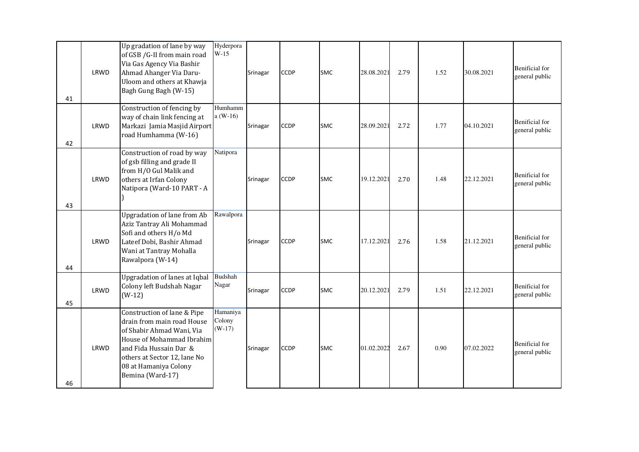| 41 | LRWD | Up gradation of lane by way<br>of GSB /G-II from main road<br>Via Gas Agency Via Bashir<br>Ahmad Ahanger Via Daru-<br>Uloom and others at Khawja<br>Bagh Gung Bagh (W-15)                                                  | Hyderpora<br>$W-15$            | Srinagar | <b>CCDP</b> | <b>SMC</b> | 28.08.2021 | 2.79 | 1.52 | 30.08.2021 | <b>Benificial</b> for<br>general public |
|----|------|----------------------------------------------------------------------------------------------------------------------------------------------------------------------------------------------------------------------------|--------------------------------|----------|-------------|------------|------------|------|------|------------|-----------------------------------------|
| 42 | LRWD | Construction of fencing by<br>way of chain link fencing at<br>Markazi Jamia Masjid Airport<br>road Humhamma (W-16)                                                                                                         | Humhamm<br>$a(W-16)$           | Srinagar | <b>CCDP</b> | <b>SMC</b> | 28.09.2021 | 2.72 | 1.77 | 04.10.2021 | <b>Benificial</b> for<br>general public |
| 43 | LRWD | Construction of road by way<br>of gsb filling and grade II<br>from H/O Gul Malik and<br>others at Irfan Colony<br>Natipora (Ward-10 PART - A                                                                               | Natipora                       | Srinagar | <b>CCDP</b> | <b>SMC</b> | 19.12.2021 | 2.70 | 1.48 | 22.12.2021 | <b>Benificial</b> for<br>general public |
| 44 | LRWD | <b>Upgradation of lane from Ab</b><br>Aziz Tantray Ali Mohammad<br>Sofi and others H/o Md<br>Lateef Dobi, Bashir Ahmad<br>Wani at Tantray Mohalla<br>Rawalpora (W-14)                                                      | Rawalpora                      | Srinagar | <b>CCDP</b> | <b>SMC</b> | 17.12.2021 | 2.76 | 1.58 | 21.12.2021 | <b>Benificial</b> for<br>general public |
| 45 | LRWD | <b>Upgradation of lanes at Iqbal</b><br>Colony left Budshah Nagar<br>$(W-12)$                                                                                                                                              | <b>Budshah</b><br>Nagar        | Srinagar | <b>CCDP</b> | <b>SMC</b> | 20.12.2021 | 2.79 | 1.51 | 22.12.2021 | <b>Benificial</b> for<br>general public |
| 46 | LRWD | Construction of lane & Pipe<br>drain from main road House<br>of Shabir Ahmad Wani, Via<br>House of Mohammad Ibrahim<br>and Fida Hussain Dar &<br>others at Sector 12, lane No<br>08 at Hamaniya Colony<br>Bemina (Ward-17) | Hamaniya<br>Colony<br>$(W-17)$ | Srinagar | <b>CCDP</b> | <b>SMC</b> | 01.02.2022 | 2.67 | 0.90 | 07.02.2022 | <b>Benificial</b> for<br>general public |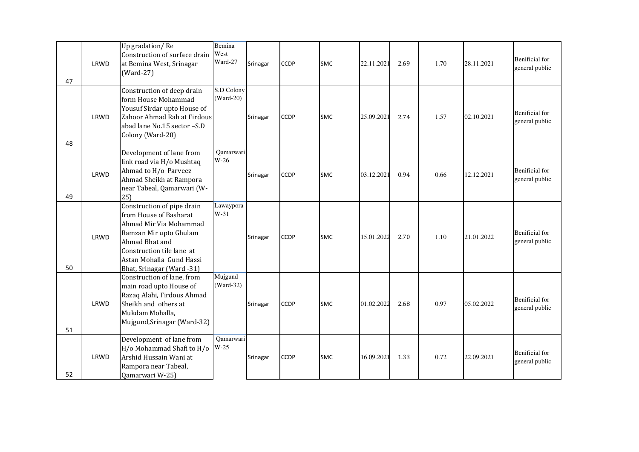| 47 | LRWD | Up gradation/Re<br>Construction of surface drain<br>at Bemina West, Srinagar<br>$(Ward-27)$                                                                                                                      | <b>Bemina</b><br>West<br>Ward-27 | Srinagar | <b>CCDP</b> | <b>SMC</b> | 22.11.2021 | 2.69 | 1.70 | 28.11.2021 | <b>Benificial</b> for<br>general public |
|----|------|------------------------------------------------------------------------------------------------------------------------------------------------------------------------------------------------------------------|----------------------------------|----------|-------------|------------|------------|------|------|------------|-----------------------------------------|
| 48 | LRWD | Construction of deep drain<br>form House Mohammad<br>Yousuf Sirdar upto House of<br>Zahoor Ahmad Rah at Firdous<br>abad lane No.15 sector -S.D<br>Colony (Ward-20)                                               | S.D Colony<br>$(Ward-20)$        | Srinagar | <b>CCDP</b> | <b>SMC</b> | 25.09.2021 | 2.74 | 1.57 | 02.10.2021 | <b>Benificial</b> for<br>general public |
| 49 | LRWD | Development of lane from<br>link road via H/o Mushtaq<br>Ahmad to H/o Parveez<br>Ahmad Sheikh at Rampora<br>near Tabeal, Qamarwari (W-<br>25)                                                                    | Qamarwari<br>$W-26$              | Srinagar | <b>CCDP</b> | <b>SMC</b> | 03.12.2021 | 0.94 | 0.66 | 12.12.2021 | <b>Benificial</b> for<br>general public |
| 50 | LRWD | Construction of pipe drain<br>from House of Basharat<br>Ahmad Mir Via Mohammad<br>Ramzan Mir upto Ghulam<br>Ahmad Bhat and<br>Construction tile lane at<br>Astan Mohalla Gund Hassi<br>Bhat, Srinagar (Ward -31) | Lawaypora<br>$W-31$              | Srinagar | <b>CCDP</b> | <b>SMC</b> | 15.01.2022 | 2.70 | 1.10 | 21.01.2022 | <b>Benificial</b> for<br>general public |
| 51 | LRWD | Construction of lane, from<br>main road upto House of<br>Razaq Alahi, Firdous Ahmad<br>Sheikh and others at<br>Mukdam Mohalla,<br>Mujgund, Srinagar (Ward-32)                                                    | Mujgund<br>$(Ward-32)$           | Srinagar | <b>CCDP</b> | <b>SMC</b> | 01.02.2022 | 2.68 | 0.97 | 05.02.2022 | <b>Benificial</b> for<br>general public |
| 52 | LRWD | Development of lane from<br>H/o Mohammad Shafi to H/o<br>Arshid Hussain Wani at<br>Rampora near Tabeal,<br>Qamarwari W-25)                                                                                       | Qamarwari<br>$W-25$              | Srinagar | <b>CCDP</b> | <b>SMC</b> | 16.09.2021 | 1.33 | 0.72 | 22.09.2021 | <b>Benificial</b> for<br>general public |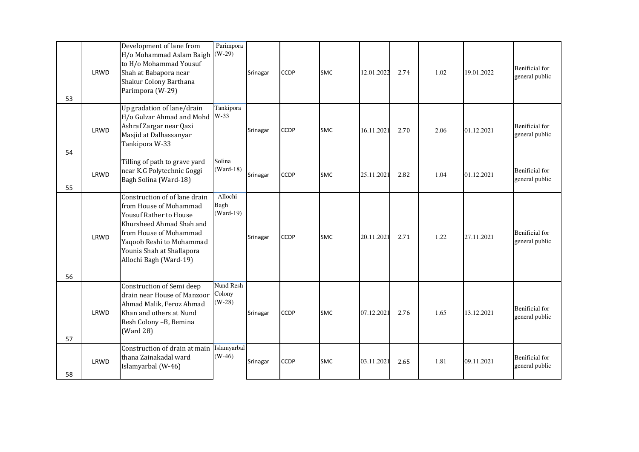| 53 | LRWD | Development of lane from<br>H/o Mohammad Aslam Baigh<br>to H/o Mohammad Yousuf<br>Shah at Babapora near<br>Shakur Colony Barthana<br>Parimpora (W-29)                                                                             | Parimpora<br>$(W-29)$           | Srinagar | <b>CCDP</b> | <b>SMC</b> | 12.01.2022 | 2.74 | 1.02 | 19.01.2022 | <b>Benificial</b> for<br>general public |
|----|------|-----------------------------------------------------------------------------------------------------------------------------------------------------------------------------------------------------------------------------------|---------------------------------|----------|-------------|------------|------------|------|------|------------|-----------------------------------------|
| 54 | LRWD | Up gradation of lane/drain<br>H/o Gulzar Ahmad and Mohd<br>Ashraf Zargar near Qazi<br>Masjid at Dalhassanyar<br>Tankipora W-33                                                                                                    | <b>Tankipora</b><br>$W-33$      | Srinagar | <b>CCDP</b> | <b>SMC</b> | 16.11.2021 | 2.70 | 2.06 | 01.12.2021 | <b>Benificial</b> for<br>general public |
| 55 | LRWD | Tilling of path to grave yard<br>near K.G Polytechnic Goggi<br>Bagh Solina (Ward-18)                                                                                                                                              | Solina<br>$(Ward-18)$           | Srinagar | <b>CCDP</b> | <b>SMC</b> | 25.11.2021 | 2.82 | 1.04 | 01.12.2021 | <b>Benificial</b> for<br>general public |
| 56 | LRWD | Construction of of lane drain<br>from House of Mohammad<br><b>Yousuf Rather to House</b><br>Khursheed Ahmad Shah and<br>from House of Mohammad<br>Yaqoob Reshi to Mohammad<br>Younis Shah at Shallapora<br>Allochi Bagh (Ward-19) | Allochi<br>Bagh<br>$( Ward-19)$ | Srinagar | <b>CCDP</b> | <b>SMC</b> | 20.11.2021 | 2.71 | 1.22 | 27.11.2021 | <b>Benificial</b> for<br>general public |
| 57 | LRWD | Construction of Semi deep<br>drain near House of Manzoor<br>Ahmad Malik, Feroz Ahmad<br>Khan and others at Nund<br>Resh Colony -B, Bemina<br>(Ward 28)                                                                            | Nund Resh<br>Colony<br>$(W-28)$ | Srinagar | <b>CCDP</b> | <b>SMC</b> | 07.12.2021 | 2.76 | 1.65 | 13.12.2021 | <b>Benificial</b> for<br>general public |
| 58 | LRWD | Construction of drain at main<br>thana Zainakadal ward<br>Islamyarbal (W-46)                                                                                                                                                      | Islamyarbal<br>$(W-46)$         | Srinagar | <b>CCDP</b> | <b>SMC</b> | 03.11.2021 | 2.65 | 1.81 | 09.11.2021 | <b>Benificial</b> for<br>general public |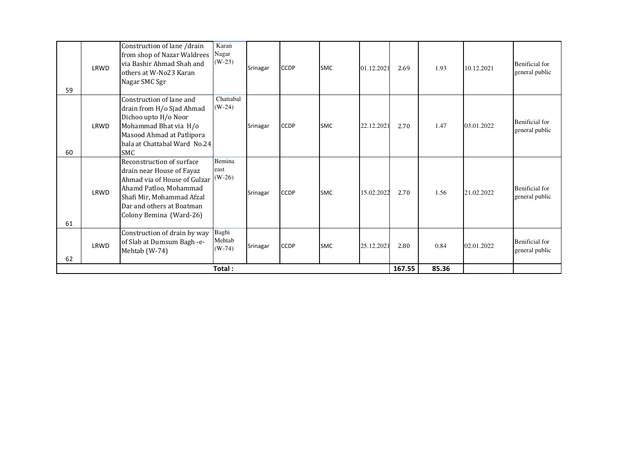| 59 | LRWD | Construction of lane /drain<br>from shop of Nazar Waldrees<br>via Bashir Ahmad Shah and<br>others at W-No23 Karan<br>Nagar SMC Sgr                                                                    | Karan<br>Nagar<br>$(W-23)$  | Srinagar | <b>CCDP</b> | <b>SMC</b> | 01.12.2021 | 2.69 | 1.93 | 10.12.2021 | <b>Benificial</b> for<br>general public |
|----|------|-------------------------------------------------------------------------------------------------------------------------------------------------------------------------------------------------------|-----------------------------|----------|-------------|------------|------------|------|------|------------|-----------------------------------------|
| 60 | LRWD | Construction of lane and<br>drain from H/o Sjad Ahmad<br>Dichoo upto H/o Noor<br>Mohammad Bhat via H/o<br>Masood Ahmad at Patlipora<br>bala at Chattabal Ward No.24<br><b>SMC</b>                     | Chattabal<br>$(W-24)$       | Srinagar | <b>CCDP</b> | <b>SMC</b> | 22.12.2021 | 2.70 | 1.47 | 03.01.2022 | <b>Benificial</b> for<br>general public |
| 61 | LRWD | Reconstruction of surface<br>drain near House of Fayaz<br>Ahmad via of House of Gulzar<br>Ahamd Patloo, Mohammad<br>Shafi Mir, Mohammad Afzal<br>Dar and others at Boatman<br>Colony Bemina (Ward-26) | Bemina<br>east<br>$(W-26)$  | Srinagar | <b>CCDP</b> | <b>SMC</b> | 15.02.2022 | 2.70 | 1.56 | 21.02.2022 | <b>Benificial</b> for<br>general public |
| 62 | LRWD | Construction of drain by way<br>of Slab at Dumsum Bagh -e-<br>Mehtab (W-74)                                                                                                                           | Baghi<br>Mehtab<br>$(W-74)$ | Srinagar | <b>CCDP</b> | <b>SMC</b> | 25.12.2021 | 2.80 | 0.84 | 02.01.2022 | <b>Benificial</b> for<br>general public |
|    |      |                                                                                                                                                                                                       | Total:                      |          | 167.55      | 85.36      |            |      |      |            |                                         |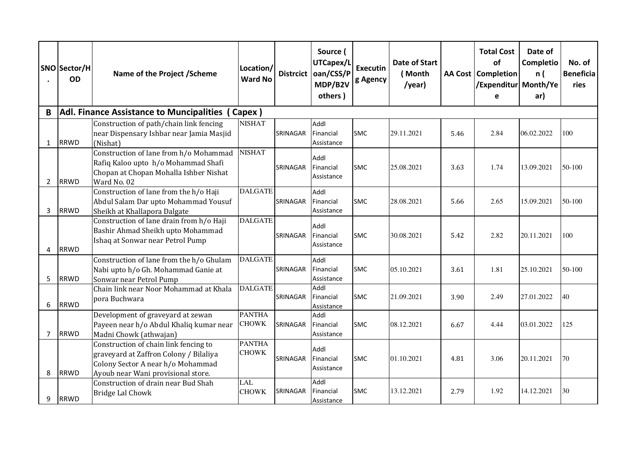|                | SNO Sector/H<br><b>OD</b> | Name of the Project / Scheme                                                                                                                               | Location/<br><b>Ward No</b>   | <b>Distrcict</b> | Source (<br>UTCapex/L<br>oan/CSS/P<br>MDP/B2V<br>others) | <b>Executin</b><br>g Agency | <b>Date of Start</b><br>(Month<br>/year) |      | <b>Total Cost</b><br>of<br>AA Cost   Completion<br>Expenditur   Month/Ye<br>e | Date of<br>Completio<br>n (<br>ar) | No. of<br><b>Beneficia</b><br>ries |
|----------------|---------------------------|------------------------------------------------------------------------------------------------------------------------------------------------------------|-------------------------------|------------------|----------------------------------------------------------|-----------------------------|------------------------------------------|------|-------------------------------------------------------------------------------|------------------------------------|------------------------------------|
| B              |                           | Adl. Finance Assistance to Muncipalities (Capex)                                                                                                           |                               |                  |                                                          |                             |                                          |      |                                                                               |                                    |                                    |
| $\mathbf{1}$   | <b>RRWD</b>               | Construction of path/chain link fencing<br>near Dispensary Ishbar near Jamia Masjid<br>(Nishat)                                                            | <b>NISHAT</b>                 | SRINAGAR         | Addl<br>Financial<br>Assistance                          | <b>SMC</b>                  | 29.11.2021                               | 5.46 | 2.84                                                                          | 06.02.2022                         | 100                                |
| $\overline{2}$ | <b>RRWD</b>               | Construction of lane from h/o Mohammad<br>Rafiq Kaloo upto h/o Mohammad Shafi<br>Chopan at Chopan Mohalla Ishber Nishat<br>Ward No. 02                     | <b>NISHAT</b>                 | SRINAGAR         | Addl<br>Financial<br>Assistance                          | <b>SMC</b>                  | 25.08.2021                               | 3.63 | 1.74                                                                          | 13.09.2021                         | 50-100                             |
| 3              | <b>RRWD</b>               | Construction of lane from the h/o Haji<br>Abdul Salam Dar upto Mohammad Yousuf<br>Sheikh at Khallapora Dalgate                                             | <b>DALGATE</b>                | SRINAGAR         | Addl<br>Financial<br>Assistance                          | <b>SMC</b>                  | 28.08.2021                               | 5.66 | 2.65                                                                          | 15.09.2021                         | 50-100                             |
| 4              | <b>RRWD</b>               | Construction of lane drain from h/o Haji<br>Bashir Ahmad Sheikh upto Mohammad<br>Ishaq at Sonwar near Petrol Pump                                          | <b>DALGATE</b>                | SRINAGAR         | Addl<br>Financial<br>Assistance                          | <b>SMC</b>                  | 30.08.2021                               | 5.42 | 2.82                                                                          | 20.11.2021                         | 100                                |
| 5              | <b>RRWD</b>               | Construction of lane from the h/o Ghulam<br>Nabi upto h/o Gh. Mohammad Ganie at<br>Sonwar near Petrol Pump                                                 | <b>DALGATE</b>                | SRINAGAR         | Addl<br>Financial<br>Assistance                          | <b>SMC</b>                  | 05.10.2021                               | 3.61 | 1.81                                                                          | 25.10.2021                         | 50-100                             |
| 6              | <b>RRWD</b>               | Chain link near Noor Mohammad at Khala<br>pora Buchwara                                                                                                    | <b>DALGATE</b>                | SRINAGAR         | Addl<br>Financial<br>Assistance                          | <b>SMC</b>                  | 21.09.2021                               | 3.90 | 2.49                                                                          | 27.01.2022                         | 40                                 |
| 7              | <b>RRWD</b>               | Development of graveyard at zewan<br>Payeen near h/o Abdul Khaliq kumar near<br>Madni Chowk (athwajan)                                                     | <b>PANTHA</b><br><b>CHOWK</b> | SRINAGAR         | Addl<br>Financial<br>Assistance                          | <b>SMC</b>                  | 08.12.2021                               | 6.67 | 4.44                                                                          | 03.01.2022                         | 125                                |
| 8              | <b>RRWD</b>               | Construction of chain link fencing to<br>graveyard at Zaffron Colony / Bilaliya<br>Colony Sector A near h/o Mohammad<br>Ayoub near Wani provisional store. | <b>PANTHA</b><br><b>CHOWK</b> | SRINAGAR         | Addl<br>Financial<br>Assistance                          | <b>SMC</b>                  | 01.10.2021                               | 4.81 | 3.06                                                                          | 20.11.2021                         | 70                                 |
| 9              | <b>RRWD</b>               | Construction of drain near Bud Shah<br><b>Bridge Lal Chowk</b>                                                                                             | <b>LAL</b><br><b>CHOWK</b>    | SRINAGAR         | Addl<br>Financial<br>Assistance                          | <b>SMC</b>                  | 13.12.2021                               | 2.79 | 1.92                                                                          | 14.12.2021                         | 30                                 |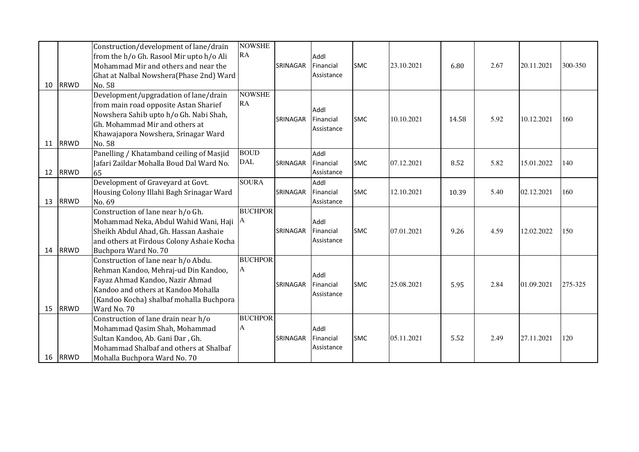| 10 | <b>RRWD</b> | Construction/development of lane/drain<br>from the h/o Gh. Rasool Mir upto h/o Ali<br>Mohammad Mir and others and near the<br>Ghat at Nalbal Nowshera(Phase 2nd) Ward<br>No. 58                                 | <b>NOWSHE</b><br>RA       | <b>SRINAGAR</b> | Addl<br>Financial<br>Assistance | <b>SMC</b> | 23.10.2021 | 6.80  | 2.67 | 20.11.2021 | 300-350 |
|----|-------------|-----------------------------------------------------------------------------------------------------------------------------------------------------------------------------------------------------------------|---------------------------|-----------------|---------------------------------|------------|------------|-------|------|------------|---------|
| 11 | <b>RRWD</b> | Development/upgradation of lane/drain<br>from main road opposite Astan Sharief<br>Nowshera Sahib upto h/o Gh. Nabi Shah,<br>Gh. Mohammad Mir and others at<br>Khawajapora Nowshera, Srinagar Ward<br>No. 58     | <b>NOWSHE</b><br>RA       | <b>SRINAGAR</b> | Addl<br>Financial<br>Assistance | <b>SMC</b> | 10.10.2021 | 14.58 | 5.92 | 10.12.2021 | 160     |
| 12 | <b>RRWD</b> | Panelling / Khatamband ceiling of Masjid<br>Jafari Zaildar Mohalla Boud Dal Ward No.<br>65                                                                                                                      | <b>BOUD</b><br><b>DAL</b> | <b>SRINAGAR</b> | Addl<br>Financial<br>Assistance | <b>SMC</b> | 07.12.2021 | 8.52  | 5.82 | 15.01.2022 | 140     |
| 13 | <b>RRWD</b> | Development of Graveyard at Govt.<br>Housing Colony Illahi Bagh Srinagar Ward<br>No. 69                                                                                                                         | <b>SOURA</b>              | SRINAGAR        | Addl<br>Financial<br>Assistance | <b>SMC</b> | 12.10.2021 | 10.39 | 5.40 | 02.12.2021 | 160     |
| 14 | <b>RRWD</b> | Construction of lane near h/o Gh.<br>Mohammad Neka, Abdul Wahid Wani, Haji<br>Sheikh Abdul Ahad, Gh. Hassan Aashaie<br>and others at Firdous Colony Ashaie Kocha<br>Buchpora Ward No. 70                        | <b>BUCHPOR</b><br>IA      | SRINAGAR        | Addl<br>Financial<br>Assistance | <b>SMC</b> | 07.01.2021 | 9.26  | 4.59 | 12.02.2022 | 150     |
| 15 | <b>RRWD</b> | Construction of lane near h/o Abdu.<br>Rehman Kandoo, Mehraj-ud Din Kandoo,<br>Fayaz Ahmad Kandoo, Nazir Ahmad<br>Kandoo and others at Kandoo Mohalla<br>(Kandoo Kocha) shalbaf mohalla Buchpora<br>Ward No. 70 | <b>BUCHPOR</b><br>A       | SRINAGAR        | Addl<br>Financial<br>Assistance | <b>SMC</b> | 25.08.2021 | 5.95  | 2.84 | 01.09.2021 | 275-325 |
| 16 | RRWD        | Construction of lane drain near h/o<br>Mohammad Qasim Shah, Mohammad<br>Sultan Kandoo, Ab. Gani Dar, Gh.<br>Mohammad Shalbaf and others at Shalbaf<br>Mohalla Buchpora Ward No. 70                              | <b>BUCHPOR</b><br>A       | SRINAGAR        | Addl<br>Financial<br>Assistance | <b>SMC</b> | 05.11.2021 | 5.52  | 2.49 | 27.11.2021 | 120     |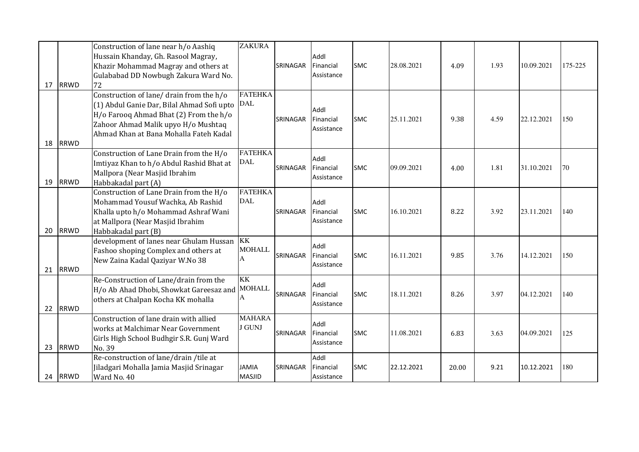| 17 | <b>RRWD</b> | Construction of lane near h/o Aashiq<br>Hussain Khanday, Gh. Rasool Magray,<br>Khazir Mohammad Magray and others at<br>Gulababad DD Nowbugh Zakura Ward No.<br>72                                                 | <b>ZAKURA</b>                   | SRINAGAR | Addl<br>Financial<br>Assistance | <b>SMC</b> | 28.08.2021 | 4.09  | 1.93 | 10.09.2021 | 175-225 |
|----|-------------|-------------------------------------------------------------------------------------------------------------------------------------------------------------------------------------------------------------------|---------------------------------|----------|---------------------------------|------------|------------|-------|------|------------|---------|
| 18 | <b>RRWD</b> | Construction of lane/ drain from the h/o<br>(1) Abdul Ganie Dar, Bilal Ahmad Sofi upto<br>H/o Farooq Ahmad Bhat (2) From the h/o<br>Zahoor Ahmad Malik upyo H/o Mushtaq<br>Ahmad Khan at Bana Mohalla Fateh Kadal | <b>FATEHKA</b><br><b>DAL</b>    | SRINAGAR | Addl<br>Financial<br>Assistance | <b>SMC</b> | 25.11.2021 | 9.38  | 4.59 | 22.12.2021 | 150     |
| 19 | <b>RRWD</b> | Construction of Lane Drain from the H/o<br>Imtiyaz Khan to h/o Abdul Rashid Bhat at<br>Mallpora (Near Masjid Ibrahim<br>Habbakadal part (A)                                                                       | <b>FATEHKA</b><br><b>DAL</b>    | SRINAGAR | Addl<br>Financial<br>Assistance | <b>SMC</b> | 09.09.2021 | 4.00  | 1.81 | 31.10.2021 | 70      |
| 20 | <b>RRWD</b> | Construction of Lane Drain from the H/o<br>Mohammad Yousuf Wachka, Ab Rashid<br>Khalla upto h/o Mohammad Ashraf Wani<br>at Mallpora (Near Masjid Ibrahim<br>Habbakadal part (B)                                   | <b>FATEHKA</b><br><b>DAL</b>    | SRINAGAR | Addl<br>Financial<br>Assistance | <b>SMC</b> | 16.10.2021 | 8.22  | 3.92 | 23.11.2021 | 140     |
| 21 | <b>RRWD</b> | development of lanes near Ghulam Hussan<br>Fashoo shoping Complex and others at<br>New Zaina Kadal Qaziyar W.No 38                                                                                                | KK<br><b>MOHALL</b><br>А        | SRINAGAR | Addl<br>Financial<br>Assistance | <b>SMC</b> | 16.11.2021 | 9.85  | 3.76 | 14.12.2021 | 150     |
| 22 | <b>RRWD</b> | Re-Construction of Lane/drain from the<br>H/o Ab Ahad Dhobi, Showkat Gareesaz and<br>others at Chalpan Kocha KK mohalla                                                                                           | <b>KK</b><br><b>MOHALL</b><br>A | SRINAGAR | Addl<br>Financial<br>Assistance | <b>SMC</b> | 18.11.2021 | 8.26  | 3.97 | 04.12.2021 | 140     |
| 23 | <b>RRWD</b> | Construction of lane drain with allied<br>works at Malchimar Near Government<br>Girls High School Budhgir S.R. Gunj Ward<br>No. 39                                                                                | <b>MAHARA</b><br><b>J GUNJ</b>  | SRINAGAR | Addl<br>Financial<br>Assistance | <b>SMC</b> | 11.08.2021 | 6.83  | 3.63 | 04.09.2021 | 125     |
| 24 | RRWD        | Re-construction of lane/drain /tile at<br>Jiladgari Mohalla Jamia Masjid Srinagar<br>Ward No. 40                                                                                                                  | <b>JAMIA</b><br><b>MASJID</b>   | SRINAGAR | Addl<br>Financial<br>Assistance | <b>SMC</b> | 22.12.2021 | 20.00 | 9.21 | 10.12.2021 | 180     |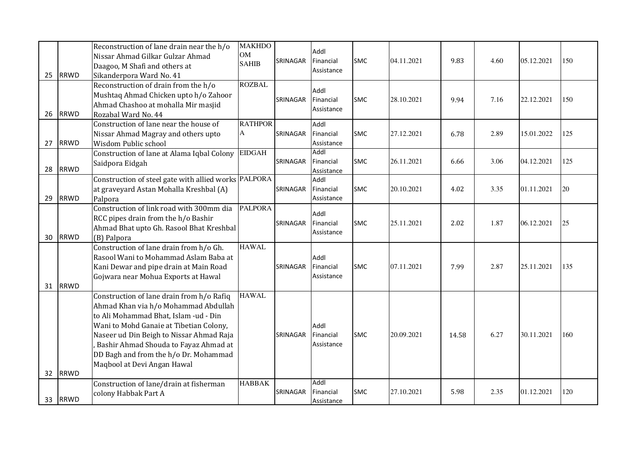| 25 | <b>RRWD</b> | Reconstruction of lane drain near the h/o<br>Nissar Ahmad Gilkar Gulzar Ahmad<br>Daagoo, M Shafi and others at<br>Sikanderpora Ward No. 41                                                                                                                                                                                         | <b>MAKHDO</b><br><b>OM</b><br><b>SAHIB</b> | SRINAGAR | Addl<br>Financial<br>Assistance | <b>SMC</b> | 04.11.2021 | 9.83  | 4.60 | 05.12.2021 | 150 |
|----|-------------|------------------------------------------------------------------------------------------------------------------------------------------------------------------------------------------------------------------------------------------------------------------------------------------------------------------------------------|--------------------------------------------|----------|---------------------------------|------------|------------|-------|------|------------|-----|
| 26 | <b>RRWD</b> | Reconstruction of drain from the h/o<br>Mushtaq Ahmad Chicken upto h/o Zahoor<br>Ahmad Chashoo at mohalla Mir masjid<br>Rozabal Ward No. 44                                                                                                                                                                                        | <b>ROZBAL</b>                              | SRINAGAR | Addl<br>Financial<br>Assistance | <b>SMC</b> | 28.10.2021 | 9.94  | 7.16 | 22.12.2021 | 150 |
| 27 | <b>RRWD</b> | Construction of lane near the house of<br>Nissar Ahmad Magray and others upto<br>Wisdom Public school                                                                                                                                                                                                                              | <b>RATHPOR</b><br>A                        | SRINAGAR | Addl<br>Financial<br>Assistance | <b>SMC</b> | 27.12.2021 | 6.78  | 2.89 | 15.01.2022 | 125 |
| 28 | <b>RRWD</b> | Construction of lane at Alama Iqbal Colony<br>Saidpora Eidgah                                                                                                                                                                                                                                                                      | <b>EIDGAH</b>                              | SRINAGAR | Addl<br>Financial<br>Assistance | SMC        | 26.11.2021 | 6.66  | 3.06 | 04.12.2021 | 125 |
| 29 | <b>RRWD</b> | Construction of steel gate with allied works PALPORA<br>at graveyard Astan Mohalla Kreshbal (A)<br>Palpora                                                                                                                                                                                                                         |                                            | SRINAGAR | Addl<br>Financial<br>Assistance | <b>SMC</b> | 20.10.2021 | 4.02  | 3.35 | 01.11.2021 | 20  |
| 30 | <b>RRWD</b> | Construction of link road with 300mm dia<br>RCC pipes drain from the h/o Bashir<br>Ahmad Bhat upto Gh. Rasool Bhat Kreshbal<br>(B) Palpora                                                                                                                                                                                         | <b>PALPORA</b>                             | SRINAGAR | Addl<br>Financial<br>Assistance | <b>SMC</b> | 25.11.2021 | 2.02  | 1.87 | 06.12.2021 | 25  |
| 31 | <b>RRWD</b> | Construction of lane drain from h/o Gh.<br>Rasool Wani to Mohammad Aslam Baba at<br>Kani Dewar and pipe drain at Main Road<br>Gojwara near Mohua Exports at Hawal                                                                                                                                                                  | <b>HAWAL</b>                               | SRINAGAR | Addl<br>Financial<br>Assistance | <b>SMC</b> | 07.11.2021 | 7.99  | 2.87 | 25.11.2021 | 135 |
| 32 | <b>RRWD</b> | Construction of lane drain from h/o Rafiq<br>Ahmad Khan via h/o Mohammad Abdullah<br>to Ali Mohammad Bhat, Islam -ud - Din<br>Wani to Mohd Ganaie at Tibetian Colony,<br>Naseer ud Din Beigh to Nissar Ahmad Raja<br>Bashir Ahmad Shouda to Fayaz Ahmad at<br>DD Bagh and from the h/o Dr. Mohammad<br>Maqbool at Devi Angan Hawal | <b>HAWAL</b>                               | SRINAGAR | Addl<br>Financial<br>Assistance | <b>SMC</b> | 20.09.2021 | 14.58 | 6.27 | 30.11.2021 | 160 |
| 33 | <b>RRWD</b> | Construction of lane/drain at fisherman<br>colony Habbak Part A                                                                                                                                                                                                                                                                    | <b>HABBAK</b>                              | SRINAGAR | Addl<br>Financial<br>Assistance | <b>SMC</b> | 27.10.2021 | 5.98  | 2.35 | 01.12.2021 | 120 |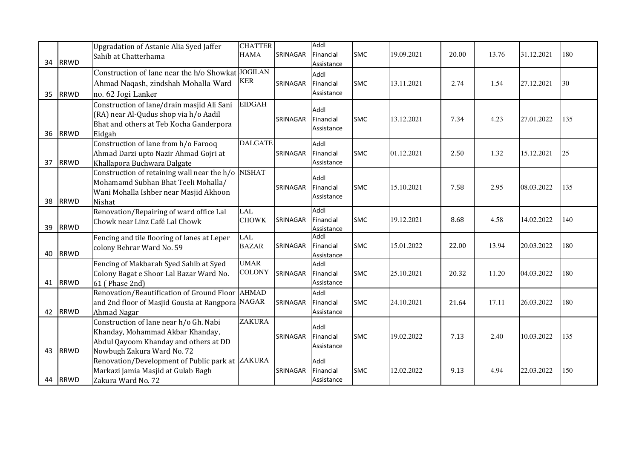|    |             | Upgradation of Astanie Alia Syed Jaffer<br>Sahib at Chatterhama | <b>CHATTER</b><br><b>HAMA</b> | SRINAGAR | Addl<br>Financial       | <b>SMC</b> | 19.09.2021 | 20.00 | 13.76 | 31.12.2021 | 180 |
|----|-------------|-----------------------------------------------------------------|-------------------------------|----------|-------------------------|------------|------------|-------|-------|------------|-----|
| 34 | <b>RRWD</b> |                                                                 |                               |          | Assistance              |            |            |       |       |            |     |
|    |             | Construction of lane near the h/o Showkat JOGILAN               |                               |          | Addl                    |            |            |       |       |            |     |
|    |             | Ahmad Naqash, zindshah Mohalla Ward                             | <b>KER</b>                    | SRINAGAR | Financial               | <b>SMC</b> | 13.11.2021 | 2.74  | 1.54  | 27.12.2021 | 30  |
| 35 | <b>RRWD</b> | no. 62 Jogi Lanker                                              |                               |          | Assistance              |            |            |       |       |            |     |
|    |             | Construction of lane/drain masjid Ali Sani                      | <b>EIDGAH</b>                 |          | Addl                    |            |            |       |       |            |     |
|    |             | (RA) near Al-Qudus shop via h/o Aadil                           |                               | SRINAGAR | Financial               | <b>SMC</b> | 13.12.2021 | 7.34  | 4.23  | 27.01.2022 | 135 |
|    |             | Bhat and others at Teb Kocha Ganderpora                         |                               |          | Assistance              |            |            |       |       |            |     |
| 36 | <b>RRWD</b> | Eidgah                                                          |                               |          |                         |            |            |       |       |            |     |
|    |             | Construction of lane from h/o Farooq                            | <b>DALGATE</b>                |          | Addl                    |            |            |       |       |            |     |
|    |             | Ahmad Darzi upto Nazir Ahmad Gojri at                           |                               | SRINAGAR | Financial               | <b>SMC</b> | 01.12.2021 | 2.50  | 1.32  | 15.12.2021 | 25  |
| 37 | <b>RRWD</b> | Khallapora Buchwara Dalgate                                     |                               |          | Assistance              |            |            |       |       |            |     |
|    |             | Construction of retaining wall near the h/o NISHAT              |                               |          | Addl                    |            |            |       |       |            |     |
|    |             | Mohamamd Subhan Bhat Teeli Mohalla/                             |                               | SRINAGAR | Financial               | <b>SMC</b> | 15.10.2021 | 7.58  | 2.95  | 08.03.2022 | 135 |
|    |             | Wani Mohalla Ishber near Masjid Akhoon                          |                               |          | Assistance              |            |            |       |       |            |     |
| 38 | <b>RRWD</b> | Nishat<br>Renovation/Repairing of ward office Lal               | <b>LAL</b>                    |          | Addl                    |            |            |       |       |            |     |
|    |             | Chowk near Linz Café Lal Chowk                                  | <b>CHOWK</b>                  | SRINAGAR | Financial               | <b>SMC</b> | 19.12.2021 | 8.68  | 4.58  | 14.02.2022 | 140 |
| 39 | <b>RRWD</b> |                                                                 |                               |          | Assistance              |            |            |       |       |            |     |
|    |             | Fencing and tile flooring of lanes at Leper                     | <b>LAL</b>                    |          | Addl                    |            |            |       |       |            |     |
|    |             | colony Behrar Ward No. 59                                       | <b>BAZAR</b>                  | SRINAGAR | Financial               | <b>SMC</b> | 15.01.2022 | 22.00 | 13.94 | 20.03.2022 | 180 |
| 40 | <b>RRWD</b> |                                                                 | <b>UMAR</b>                   |          | Assistance              |            |            |       |       |            |     |
|    |             | Fencing of Makbarah Syed Sahib at Syed                          | <b>COLONY</b>                 |          | Addl                    |            |            |       |       |            |     |
| 41 | <b>RRWD</b> | Colony Bagat e Shoor Lal Bazar Ward No.<br>61 (Phase 2nd)       |                               | SRINAGAR | Financial<br>Assistance | <b>SMC</b> | 25.10.2021 | 20.32 | 11.20 | 04.03.2022 | 180 |
|    |             | Renovation/Beautification of Ground Floor                       | <b>AHMAD</b>                  |          | Addl                    |            |            |       |       |            |     |
|    |             | and 2nd floor of Masjid Gousia at Rangpora NAGAR                |                               | SRINAGAR | Financial               | <b>SMC</b> | 24.10.2021 | 21.64 | 17.11 | 26.03.2022 | 180 |
| 42 | <b>RRWD</b> | Ahmad Nagar                                                     |                               |          | Assistance              |            |            |       |       |            |     |
|    |             | Construction of lane near h/o Gh. Nabi                          | <b>ZAKURA</b>                 |          |                         |            |            |       |       |            |     |
|    |             | Khanday, Mohammad Akbar Khanday,                                |                               |          | Addl                    |            |            |       |       |            |     |
|    |             | Abdul Qayoom Khanday and others at DD                           |                               | SRINAGAR | Financial               | <b>SMC</b> | 19.02.2022 | 7.13  | 2.40  | 10.03.2022 | 135 |
| 43 | <b>RRWD</b> | Nowbugh Zakura Ward No. 72                                      |                               |          | Assistance              |            |            |       |       |            |     |
|    |             | Renovation/Development of Public park at ZAKURA                 |                               |          | Addl                    |            |            |       |       |            |     |
|    |             | Markazi jamia Masjid at Gulab Bagh                              |                               | SRINAGAR | Financial               | <b>SMC</b> | 12.02.2022 | 9.13  | 4.94  | 22.03.2022 | 150 |
| 44 | <b>RRWD</b> | Zakura Ward No. 72                                              |                               |          | Assistance              |            |            |       |       |            |     |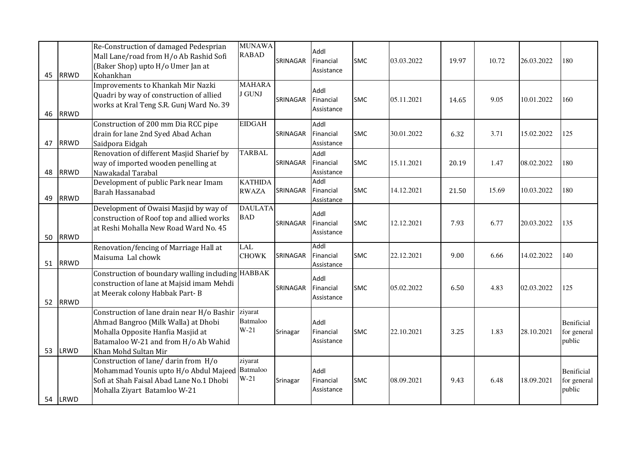| 45 | <b>RRWD</b> | Re-Construction of damaged Pedesprian<br>Mall Lane/road from H/o Ab Rashid Sofi<br>(Baker Shop) upto H/o Umer Jan at<br>Kohankhan                                                      | <b>MUNAWA</b><br><b>RABAD</b>  | SRINAGAR | Addl<br>Financial<br>Assistance | <b>SMC</b> | 03.03.2022 | 19.97 | 10.72 | 26.03.2022 | 180                                        |
|----|-------------|----------------------------------------------------------------------------------------------------------------------------------------------------------------------------------------|--------------------------------|----------|---------------------------------|------------|------------|-------|-------|------------|--------------------------------------------|
| 46 | <b>RRWD</b> | Improvements to Khankah Mir Nazki<br>Quadri by way of construction of allied<br>works at Kral Teng S.R. Gunj Ward No. 39                                                               | <b>MAHARA</b><br><b>J GUNJ</b> | SRINAGAR | Addl<br>Financial<br>Assistance | <b>SMC</b> | 05.11.2021 | 14.65 | 9.05  | 10.01.2022 | 160                                        |
| 47 | <b>RRWD</b> | Construction of 200 mm Dia RCC pipe<br>drain for lane 2nd Syed Abad Achan<br>Saidpora Eidgah                                                                                           | <b>EIDGAH</b>                  | SRINAGAR | Addl<br>Financial<br>Assistance | <b>SMC</b> | 30.01.2022 | 6.32  | 3.71  | 15.02.2022 | 125                                        |
| 48 | <b>RRWD</b> | Renovation of different Masjid Sharief by<br>way of imported wooden penelling at<br>Nawakadal Tarabal                                                                                  | <b>TARBAL</b>                  | SRINAGAR | Addl<br>Financial<br>Assistance | <b>SMC</b> | 15.11.2021 | 20.19 | 1.47  | 08.02.2022 | 180                                        |
| 49 | <b>RRWD</b> | Development of public Park near Imam<br>Barah Hassanabad                                                                                                                               | <b>KATHIDA</b><br><b>RWAZA</b> | SRINAGAR | Addl<br>Financial<br>Assistance | <b>SMC</b> | 14.12.2021 | 21.50 | 15.69 | 10.03.2022 | 180                                        |
| 50 | <b>RRWD</b> | Development of Owaisi Masjid by way of<br>construction of Roof top and allied works<br>at Reshi Mohalla New Road Ward No. 45                                                           | <b>DAULATA</b><br><b>BAD</b>   | SRINAGAR | Addl<br>Financial<br>Assistance | <b>SMC</b> | 12.12.2021 | 7.93  | 6.77  | 20.03.2022 | 135                                        |
| 51 | <b>RRWD</b> | Renovation/fencing of Marriage Hall at<br>Maisuma Lal chowk                                                                                                                            | <b>LAL</b><br><b>CHOWK</b>     | SRINAGAR | Addl<br>Financial<br>Assistance | <b>SMC</b> | 22.12.2021 | 9.00  | 6.66  | 14.02.2022 | 140                                        |
| 52 | <b>RRWD</b> | Construction of boundary walling including HABBAK<br>construction of lane at Majsid imam Mehdi<br>at Meerak colony Habbak Part-B                                                       |                                | SRINAGAR | Addl<br>Financial<br>Assistance | <b>SMC</b> | 05.02.2022 | 6.50  | 4.83  | 02.03.2022 | 125                                        |
| 53 | LRWD        | Construction of lane drain near H/o Bashir<br>Ahmad Bangroo (Milk Walla) at Dhobi<br>Mohalla Opposite Hanfia Masjid at<br>Batamaloo W-21 and from H/o Ab Wahid<br>Khan Mohd Sultan Mir | ziyarat<br>Batmaloo<br>$W-21$  | Srinagar | Addl<br>Financial<br>Assistance | <b>SMC</b> | 22.10.2021 | 3.25  | 1.83  | 28.10.2021 | <b>Benificial</b><br>for general<br>public |
| 54 | LRWD        | Construction of lane/ darin from H/o<br>Mohammad Younis upto H/o Abdul Majeed<br>Sofi at Shah Faisal Abad Lane No.1 Dhobi<br>Mohalla Ziyart Batamloo W-21                              | ziyarat<br>Batmaloo<br>$W-21$  | Srinagar | Addl<br>Financial<br>Assistance | <b>SMC</b> | 08.09.2021 | 9.43  | 6.48  | 18.09.2021 | <b>Benificial</b><br>for general<br>public |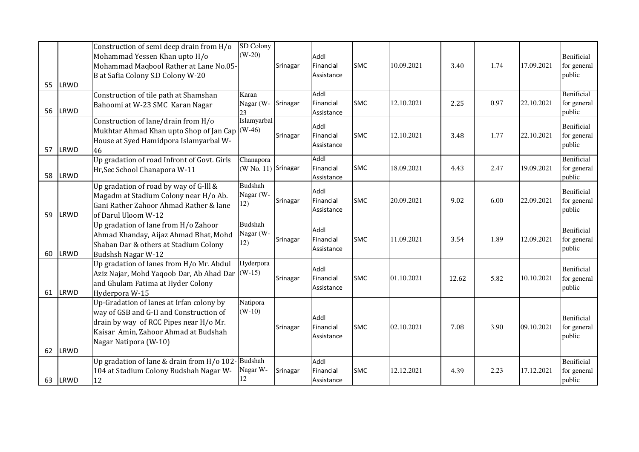| 55 | LRWD | Construction of semi deep drain from H/o<br>Mohammad Yessen Khan upto H/o<br>Mohammad Maqbool Rather at Lane No.05-<br>B at Safia Colony S.D Colony W-20                                       | SD Colony<br>$(W-20)$              | Srinagar | Addl<br>Financial<br>Assistance | <b>SMC</b> | 10.09.2021 | 3.40  | 1.74 | 17.09.2021 | <b>Benificial</b><br>for general<br>public |
|----|------|------------------------------------------------------------------------------------------------------------------------------------------------------------------------------------------------|------------------------------------|----------|---------------------------------|------------|------------|-------|------|------------|--------------------------------------------|
| 56 | LRWD | Construction of tile path at Shamshan<br>Bahoomi at W-23 SMC Karan Nagar                                                                                                                       | Karan<br>Nagar (W-<br>23           | Srinagar | Addl<br>Financial<br>Assistance | <b>SMC</b> | 12.10.2021 | 2.25  | 0.97 | 22.10.2021 | Benificial<br>for general<br>public        |
| 57 | LRWD | Construction of lane/drain from H/o<br>Mukhtar Ahmad Khan upto Shop of Jan Cap (W-46)<br>House at Syed Hamidpora Islamyarbal W-<br>46                                                          | Islamyarbal                        | Srinagar | Addl<br>Financial<br>Assistance | <b>SMC</b> | 12.10.2021 | 3.48  | 1.77 | 22.10.2021 | <b>Benificial</b><br>for general<br>public |
| 58 | LRWD | Up gradation of road Infront of Govt. Girls<br>Hr, Sec School Chanapora W-11                                                                                                                   | Chanapora<br>(W No. 11) Srinagar   |          | Addl<br>Financial<br>Assistance | <b>SMC</b> | 18.09.2021 | 4.43  | 2.47 | 19.09.2021 | Benificial<br>for general<br>public        |
| 59 | LRWD | Up gradation of road by way of G-III &<br>Magadm at Stadium Colony near H/o Ab.<br>Gani Rather Zahoor Ahmad Rather & lane<br>of Darul Uloom W-12                                               | <b>Budshah</b><br>Nagar (W-<br>12) | Srinagar | Addl<br>Financial<br>Assistance | <b>SMC</b> | 20.09.2021 | 9.02  | 6.00 | 22.09.2021 | Benificial<br>for general<br>public        |
| 60 | LRWD | Up gradation of lane from H/o Zahoor<br>Ahmad Khanday, Aijaz Ahmad Bhat, Mohd<br>Shaban Dar & others at Stadium Colony<br>Budshsh Nagar W-12                                                   | <b>Budshah</b><br>Nagar (W-<br>12) | Srinagar | Addl<br>Financial<br>Assistance | <b>SMC</b> | 11.09.2021 | 3.54  | 1.89 | 12.09.2021 | Benificial<br>for general<br>public        |
| 61 | LRWD | Up gradation of lanes from H/o Mr. Abdul<br>Aziz Najar, Mohd Yaqoob Dar, Ab Ahad Dar (W-15)<br>and Ghulam Fatima at Hyder Colony<br>Hyderpora W-15                                             | Hyderpora                          | Srinagar | Addl<br>Financial<br>Assistance | <b>SMC</b> | 01.10.2021 | 12.62 | 5.82 | 10.10.2021 | <b>Benificial</b><br>for general<br>public |
| 62 | LRWD | Up-Gradation of lanes at Irfan colony by<br>way of GSB and G-II and Construction of<br>drain by way of RCC Pipes near H/o Mr.<br>Kaisar Amin, Zahoor Ahmad at Budshah<br>Nagar Natipora (W-10) | Natipora<br>$(W-10)$               | Srinagar | Addl<br>Financial<br>Assistance | <b>SMC</b> | 02.10.2021 | 7.08  | 3.90 | 09.10.2021 | Benificial<br>for general<br>public        |
| 63 | LRWD | Up gradation of lane & drain from H/o 102<br>104 at Stadium Colony Budshah Nagar W-<br>12                                                                                                      | <b>Budshah</b><br>Nagar W-<br>12   | Srinagar | Addl<br>Financial<br>Assistance | <b>SMC</b> | 12.12.2021 | 4.39  | 2.23 | 17.12.2021 | Benificial<br>for general<br>public        |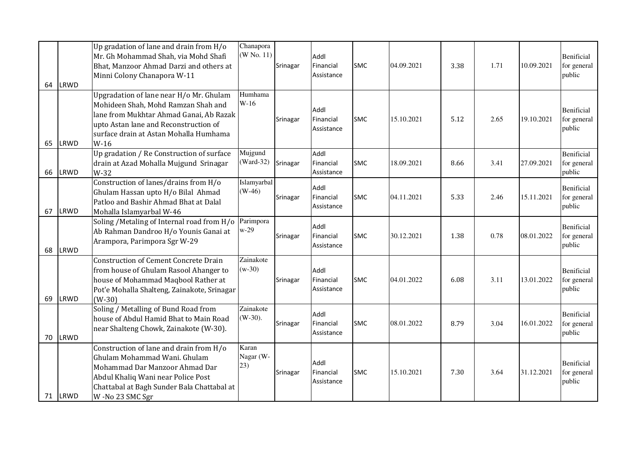| 64 | <b>LRWD</b> | Up gradation of lane and drain from H/o<br>Mr. Gh Mohammad Shah, via Mohd Shafi<br>Bhat, Manzoor Ahmad Darzi and others at<br>Minni Colony Chanapora W-11                                                              | Chanapora<br>(W No. 11)    | Srinagar | Addl<br>Financial<br>Assistance | <b>SMC</b> | 04.09.2021 | 3.38 | 1.71 | 10.09.2021 | Benificial<br>for general<br>public        |
|----|-------------|------------------------------------------------------------------------------------------------------------------------------------------------------------------------------------------------------------------------|----------------------------|----------|---------------------------------|------------|------------|------|------|------------|--------------------------------------------|
| 65 | LRWD        | Upgradation of lane near H/o Mr. Ghulam<br>Mohideen Shah, Mohd Ramzan Shah and<br>lane from Mukhtar Ahmad Ganai, Ab Razak<br>upto Astan lane and Reconstruction of<br>surface drain at Astan Mohalla Humhama<br>$W-16$ | Humhama<br>$W-16$          | Srinagar | Addl<br>Financial<br>Assistance | <b>SMC</b> | 15.10.2021 | 5.12 | 2.65 | 19.10.2021 | <b>Benificial</b><br>for general<br>public |
| 66 | LRWD        | Up gradation / Re Construction of surface<br>drain at Azad Mohalla Mujgund Srinagar<br>W-32                                                                                                                            | Mujgund<br>$(Ward-32)$     | Srinagar | Addl<br>Financial<br>Assistance | <b>SMC</b> | 18.09.2021 | 8.66 | 3.41 | 27.09.2021 | Benificial<br>for general<br>public        |
| 67 | LRWD        | Construction of lanes/drains from H/o<br>Ghulam Hassan upto H/o Bilal Ahmad<br>Patloo and Bashir Ahmad Bhat at Dalal<br>Mohalla Islamyarbal W-46                                                                       | Islamyarbal<br>$(W-46)$    | Srinagar | Addl<br>Financial<br>Assistance | <b>SMC</b> | 04.11.2021 | 5.33 | 2.46 | 15.11.2021 | <b>Benificial</b><br>for general<br>public |
| 68 | LRWD        | Soling / Metaling of Internal road from H/o<br>Ab Rahman Dandroo H/o Younis Ganai at<br>Arampora, Parimpora Sgr W-29                                                                                                   | Parimpora<br>$w-29$        | Srinagar | Addl<br>Financial<br>Assistance | <b>SMC</b> | 30.12.2021 | 1.38 | 0.78 | 08.01.2022 | Benificial<br>for general<br>public        |
| 69 | LRWD        | <b>Construction of Cement Concrete Drain</b><br>from house of Ghulam Rasool Ahanger to<br>house of Mohammad Maqbool Rather at<br>Pot'e Mohalla Shalteng, Zainakote, Srinagar<br>$(W-30)$                               | Zainakote<br>$(w-30)$      | Srinagar | Addl<br>Financial<br>Assistance | <b>SMC</b> | 04.01.2022 | 6.08 | 3.11 | 13.01.2022 | <b>Benificial</b><br>for general<br>public |
| 70 | <b>LRWD</b> | Soling / Metalling of Bund Road from<br>house of Abdul Hamid Bhat to Main Road<br>near Shalteng Chowk, Zainakote (W-30).                                                                                               | Zainakote<br>$(W-30)$ .    | Srinagar | Addl<br>Financial<br>Assistance | <b>SMC</b> | 08.01.2022 | 8.79 | 3.04 | 16.01.2022 | Benificial<br>for general<br>public        |
|    | 71 LRWD     | Construction of lane and drain from H/o<br>Ghulam Mohammad Wani, Ghulam<br>Mohammad Dar Manzoor Ahmad Dar<br>Abdul Khaliq Wani near Police Post<br>Chattabal at Bagh Sunder Bala Chattabal at<br>W-No 23 SMC Sgr       | Karan<br>Nagar (W-<br>(23) | Srinagar | Addl<br>Financial<br>Assistance | <b>SMC</b> | 15.10.2021 | 7.30 | 3.64 | 31.12.2021 | Benificial<br>for general<br>public        |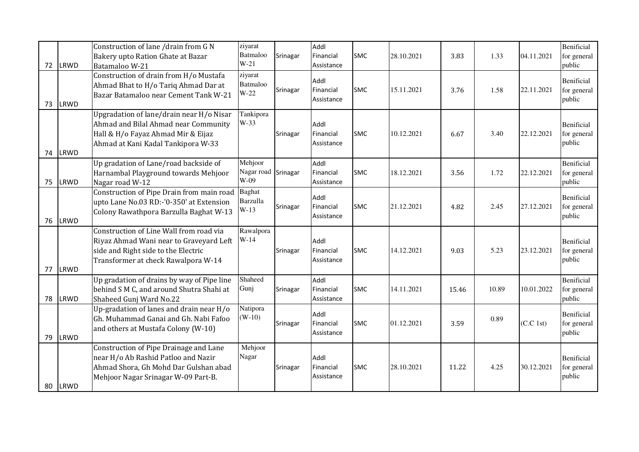| 72 | LRWD        | Construction of lane /drain from G N<br>Bakery upto Ration Ghate at Bazar<br>Batamaloo W-21                                                                      | ziyarat<br>Batmaloo<br>$W-21$              | Srinagar | Addl<br>Financial<br>Assistance | <b>SMC</b> | 28.10.2021 | 3.83  | 1.33  | 04.11.2021 | Benificial<br>for general<br>public        |
|----|-------------|------------------------------------------------------------------------------------------------------------------------------------------------------------------|--------------------------------------------|----------|---------------------------------|------------|------------|-------|-------|------------|--------------------------------------------|
| 73 | <b>LRWD</b> | Construction of drain from H/o Mustafa<br>Ahmad Bhat to H/o Tariq Ahmad Dar at<br>Bazar Batamaloo near Cement Tank W-21                                          | ziyarat<br>Batmaloo<br>$W-22$              | Srinagar | Addl<br>Financial<br>Assistance | <b>SMC</b> | 15.11.2021 | 3.76  | 1.58  | 22.11.2021 | <b>Benificial</b><br>for general<br>public |
| 74 | LRWD        | Upgradation of lane/drain near H/o Nisar<br>Ahmad and Bilal Ahmad near Community<br>Hall & H/o Fayaz Ahmad Mir & Eijaz<br>Ahmad at Kani Kadal Tankipora W-33     | Tankipora<br>W-33                          | Srinagar | Addl<br>Financial<br>Assistance | <b>SMC</b> | 10.12.2021 | 6.67  | 3.40  | 22.12.2021 | <b>Benificial</b><br>for general<br>public |
| 75 | LRWD        | Up gradation of Lane/road backside of<br>Harnambal Playground towards Mehjoor<br>Nagar road W-12                                                                 | Mehjoor<br>Nagar road Srinagar<br>W-09     |          | Addl<br>Financial<br>Assistance | <b>SMC</b> | 18.12.2021 | 3.56  | 1.72  | 22.12.2021 | Benificial<br>for general<br>public        |
| 76 | LRWD        | Construction of Pipe Drain from main road<br>upto Lane No.03 RD:-'0-350' at Extension<br>Colony Rawathpora Barzulla Baghat W-13                                  | <b>Baghat</b><br><b>Barzulla</b><br>$W-13$ | Srinagar | Addl<br>Financial<br>Assistance | <b>SMC</b> | 21.12.2021 | 4.82  | 2.45  | 27.12.2021 | <b>Benificial</b><br>for general<br>public |
| 77 | LRWD        | Construction of Line Wall from road via<br>Riyaz Ahmad Wani near to Graveyard Left<br>side and Right side to the Electric<br>Transformer at check Rawalpora W-14 | Rawalpora<br>$W-14$                        | Srinagar | Addl<br>Financial<br>Assistance | <b>SMC</b> | 14.12.2021 | 9.03  | 5.23  | 23.12.2021 | Benificial<br>for general<br>public        |
| 78 | LRWD        | Up gradation of drains by way of Pipe line<br>behind S M C, and around Shutra Shahi at<br>Shaheed Gunj Ward No.22                                                | Shaheed<br>Gunj                            | Srinagar | Addl<br>Financial<br>Assistance | <b>SMC</b> | 14.11.2021 | 15.46 | 10.89 | 10.01.2022 | Benificial<br>for general<br>public        |
| 79 | LRWD        | Up-gradation of lanes and drain near H/o<br>Gh. Muhammad Ganai and Gh. Nabi Fafoo<br>and others at Mustafa Colony (W-10)                                         | Natipora<br>$(W-10)$                       | Srinagar | Addl<br>Financial<br>Assistance | <b>SMC</b> | 01.12.2021 | 3.59  | 0.89  | (C.C. 1st) | Benificial<br>for general<br>public        |
| 80 | LRWD        | Construction of Pipe Drainage and Lane<br>near H/o Ab Rashid Patloo and Nazir<br>Ahmad Shora, Gh Mohd Dar Gulshan abad<br>Mehjoor Nagar Srinagar W-09 Part-B.    | Mehjoor<br>Nagar                           | Srinagar | Addl<br>Financial<br>Assistance | <b>SMC</b> | 28.10.2021 | 11.22 | 4.25  | 30.12.2021 | Benificial<br>for general<br>public        |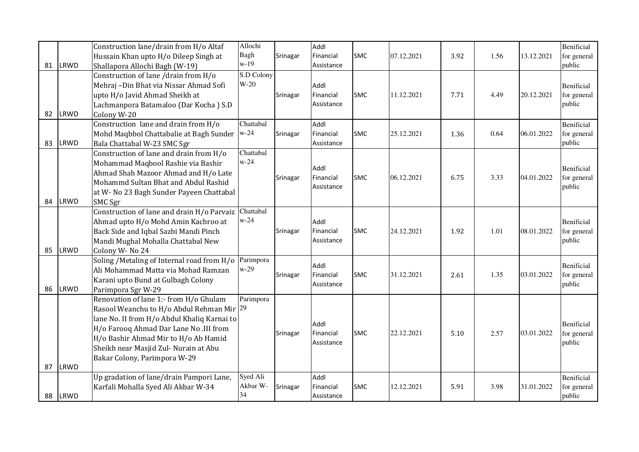| 81 | LRWD | Construction lane/drain from H/o Altaf<br>Hussain Khan upto H/o Dileep Singh at<br>Shallapora Allochi Bagh (W-19)                                                                                                                                                                             | Allochi<br>Bagh<br>$w-19$  | Srinagar | Addl<br>Financial<br>Assistance | <b>SMC</b> | 07.12.2021 | 3.92 | 1.56 | 13.12.2021 | Benificial<br>for general<br>public        |
|----|------|-----------------------------------------------------------------------------------------------------------------------------------------------------------------------------------------------------------------------------------------------------------------------------------------------|----------------------------|----------|---------------------------------|------------|------------|------|------|------------|--------------------------------------------|
| 82 | LRWD | Construction of lane /drain from H/o<br>Mehraj -Din Bhat via Nissar Ahmad Sofi<br>upto H/o Javid Ahmad Sheikh at<br>Lachmanpora Batamaloo (Dar Kocha) S.D<br>Colony W-20                                                                                                                      | S.D Colony<br>$W-20$       | Srinagar | Addl<br>Financial<br>Assistance | <b>SMC</b> | 11.12.2021 | 7.71 | 4.49 | 20.12.2021 | Benificial<br>for general<br>public        |
| 83 | LRWD | Construction lane and drain from H/o<br>Mohd Maqbbol Chattabalie at Bagh Sunder<br>Bala Chattabal W-23 SMC Sgr                                                                                                                                                                                | Chattabal<br>$w-24$        | Srinagar | Addl<br>Financial<br>Assistance | <b>SMC</b> | 25.12.2021 | 1.36 | 0.64 | 06.01.2022 | Benificial<br>for general<br>public        |
| 84 | LRWD | Construction of lane and drain from H/o<br>Mohammad Maqbool Rashie via Bashir<br>Ahmad Shah Mazoor Ahmad and H/o Late<br>Mohammd Sultan Bhat and Abdul Rashid<br>at W- No 23 Bagh Sunder Payeen Chattabal<br><b>SMC Sgr</b>                                                                   | Chattabal<br>$w-24$        | Srinagar | Addl<br>Financial<br>Assistance | <b>SMC</b> | 06.12.2021 | 6.75 | 3.33 | 04.01.2022 | <b>Benificial</b><br>for general<br>public |
| 85 | LRWD | Construction of lane and drain H/o Parvaiz Chattabal<br>Ahmad upto H/o Mohd Amin Kachroo at<br>Back Side and Iqbal Sazbi Mandi Pinch<br>Mandi Mughal Mohalla Chattabal New<br>Colony W-No 24                                                                                                  | $w-24$                     | Srinagar | Addl<br>Financial<br>Assistance | <b>SMC</b> | 24.12.2021 | 1.92 | 1.01 | 08.01.2022 | <b>Benificial</b><br>for general<br>public |
| 86 | LRWD | Soling / Metaling of Internal road from H/o<br>Ali Mohammad Matta via Mohad Ramzan<br>Karani upto Bund at Gulbagh Colony<br>Parimpora Sgr W-29                                                                                                                                                | Parimpora<br>$w-29$        | Srinagar | Addl<br>Financial<br>Assistance | <b>SMC</b> | 31.12.2021 | 2.61 | 1.35 | 03.01.2022 | Benificial<br>for general<br>public        |
| 87 | LRWD | Renovation of lane 1:- from H/o Ghulam<br>Rasool Weanchu to H/o Abdul Rehman Mir 29<br>lane No. II from H/o Abdul Khaliq Karnai to<br>H/o Farooq Ahmad Dar Lane No .III from<br>H/o Bashir Ahmad Mir to H/o Ab Hamid<br>Sheikh near Masjid Zul- Nurain at Abu<br>Bakar Colony, Parimpora W-29 | Parimpora                  | Srinagar | Addl<br>Financial<br>Assistance | <b>SMC</b> | 22.12.2021 | 5.10 | 2.57 | 03.01.2022 | Benificial<br>for general<br>public        |
| 88 | LRWD | Up gradation of lane/drain Pampori Lane,<br>Karfali Mohalla Syed Ali Akbar W-34                                                                                                                                                                                                               | Syed Ali<br>Akbar W-<br>34 | Srinagar | Addl<br>Financial<br>Assistance | <b>SMC</b> | 12.12.2021 | 5.91 | 3.98 | 31.01.2022 | Benificial<br>for general<br>public        |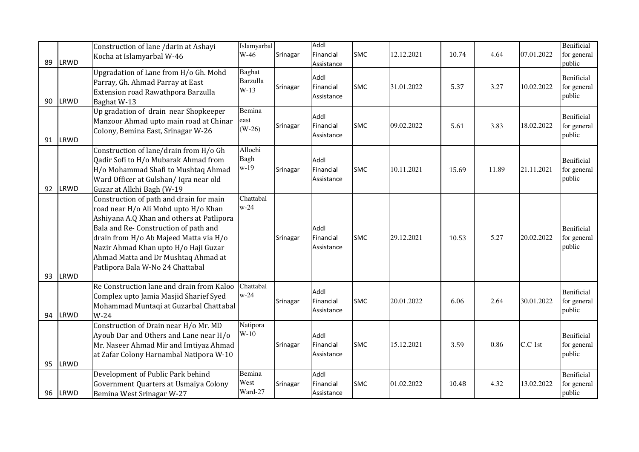| 89 | <b>LRWD</b> | Construction of lane /darin at Ashayi<br>Kocha at Islamyarbal W-46                                                                                                                                                                                                                                                                | Islamyarbal<br>W-46                        | Srinagar | Addl<br>Financial<br>Assistance | <b>SMC</b> | 12.12.2021 | 10.74 | 4.64  | 07.01.2022 | Benificial<br>for general<br>public        |
|----|-------------|-----------------------------------------------------------------------------------------------------------------------------------------------------------------------------------------------------------------------------------------------------------------------------------------------------------------------------------|--------------------------------------------|----------|---------------------------------|------------|------------|-------|-------|------------|--------------------------------------------|
| 90 | <b>LRWD</b> | Upgradation of Lane from H/o Gh. Mohd<br>Parray, Gh. Ahmad Parray at East<br>Extension road Rawathpora Barzulla<br>Baghat W-13                                                                                                                                                                                                    | <b>Baghat</b><br><b>Barzulla</b><br>$W-13$ | Srinagar | Addl<br>Financial<br>Assistance | <b>SMC</b> | 31.01.2022 | 5.37  | 3.27  | 10.02.2022 | Benificial<br>for general<br>public        |
| 91 | LRWD        | Up gradation of drain near Shopkeeper<br>Manzoor Ahmad upto main road at Chinar<br>Colony, Bemina East, Srinagar W-26                                                                                                                                                                                                             | Bemina<br>east<br>$(W-26)$                 | Srinagar | Addl<br>Financial<br>Assistance | <b>SMC</b> | 09.02.2022 | 5.61  | 3.83  | 18.02.2022 | Benificial<br>for general<br>public        |
| 92 | LRWD        | Construction of lane/drain from H/o Gh<br>Qadir Sofi to H/o Mubarak Ahmad from<br>H/o Mohammad Shafi to Mushtaq Ahmad<br>Ward Officer at Gulshan/ Iqra near old<br>Guzar at Allchi Bagh (W-19                                                                                                                                     | Allochi<br>Bagh<br>$w-19$                  | Srinagar | Addl<br>Financial<br>Assistance | <b>SMC</b> | 10.11.2021 | 15.69 | 11.89 | 21.11.2021 | Benificial<br>for general<br>public        |
| 93 | LRWD        | Construction of path and drain for main<br>road near H/o Ali Mohd upto H/o Khan<br>Ashiyana A.Q Khan and others at Patlipora<br>Bala and Re-Construction of path and<br>drain from H/o Ab Majeed Matta via H/o<br>Nazir Ahmad Khan upto H/o Haji Guzar<br>Ahmad Matta and Dr Mushtaq Ahmad at<br>Patlipora Bala W-No 24 Chattabal | Chattabal<br>$w-24$                        | Srinagar | Addl<br>Financial<br>Assistance | <b>SMC</b> | 29.12.2021 | 10.53 | 5.27  | 20.02.2022 | <b>Benificial</b><br>for general<br>public |
| 94 | LRWD        | Re Construction lane and drain from Kaloo<br>Complex upto Jamia Masjid Sharief Syed<br>Mohammad Muntaqi at Guzarbal Chattabal<br>$W-24$                                                                                                                                                                                           | Chattabal<br>$w-24$                        | Srinagar | Addl<br>Financial<br>Assistance | <b>SMC</b> | 20.01.2022 | 6.06  | 2.64  | 30.01.2022 | <b>Benificial</b><br>for general<br>public |
| 95 | LRWD        | Construction of Drain near H/o Mr. MD<br>Ayoub Dar and Others and Lane near H/o<br>Mr. Naseer Ahmad Mir and Imtiyaz Ahmad<br>at Zafar Colony Harnambal Natipora W-10                                                                                                                                                              | Natipora<br>$W-10$                         | Srinagar | Addl<br>Financial<br>Assistance | <b>SMC</b> | 15.12.2021 | 3.59  | 0.86  | C.C 1st    | Benificial<br>for general<br>public        |
| 96 | LRWD        | Development of Public Park behind<br>Government Quarters at Usmaiya Colony<br>Bemina West Srinagar W-27                                                                                                                                                                                                                           | Bemina<br>West<br>Ward-27                  | Srinagar | Addl<br>Financial<br>Assistance | <b>SMC</b> | 01.02.2022 | 10.48 | 4.32  | 13.02.2022 | Benificial<br>for general<br>public        |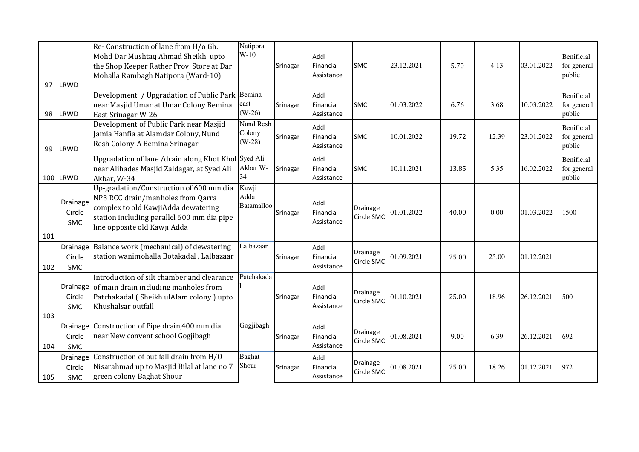| 97  | LRWD                             | Re-Construction of lane from H/o Gh.<br>Mohd Dar Mushtaq Ahmad Sheikh upto<br>the Shop Keeper Rather Prov. Store at Dar<br>Mohalla Rambagh Natipora (Ward-10)                                     | Natipora<br>$W-10$              | Srinagar | Addl<br>Financial<br>Assistance | <b>SMC</b>                    | 23.12.2021 | 5.70  | 4.13  | 03.01.2022 | Benificial<br>for general<br>public        |
|-----|----------------------------------|---------------------------------------------------------------------------------------------------------------------------------------------------------------------------------------------------|---------------------------------|----------|---------------------------------|-------------------------------|------------|-------|-------|------------|--------------------------------------------|
| 98  | LRWD                             | Development / Upgradation of Public Park Bemina<br>near Masjid Umar at Umar Colony Bemina<br>East Srinagar W-26                                                                                   | east<br>$(W-26)$                | Srinagar | Addl<br>Financial<br>Assistance | <b>SMC</b>                    | 01.03.2022 | 6.76  | 3.68  | 10.03.2022 | Benificial<br>for general<br>public        |
| 99  | LRWD                             | Development of Public Park near Masjid<br>Jamia Hanfia at Alamdar Colony, Nund<br>Resh Colony-A Bemina Srinagar                                                                                   | Nund Resh<br>Colony<br>$(W-28)$ | Srinagar | Addl<br>Financial<br>Assistance | <b>SMC</b>                    | 10.01.2022 | 19.72 | 12.39 | 23.01.2022 | <b>Benificial</b><br>for general<br>public |
|     | 100 LRWD                         | Upgradation of lane /drain along Khot Khol Syed Ali<br>near Alihades Masjid Zaldagar, at Syed Ali<br>Akbar, W-34                                                                                  | Akbar W-<br>34                  | Srinagar | Addl<br>Financial<br>Assistance | <b>SMC</b>                    | 10.11.2021 | 13.85 | 5.35  | 16.02.2022 | <b>Benificial</b><br>for general<br>public |
| 101 | <b>Drainage</b><br>Circle<br>SMC | Up-gradation/Construction of 600 mm dia<br>NP3 RCC drain/manholes from Qarra<br>complex to old KawjiAdda dewatering<br>station including parallel 600 mm dia pipe<br>line opposite old Kawji Adda | Kawji<br>Adda<br>Batamalloo     | Srinagar | Addl<br>Financial<br>Assistance | Drainage<br>Circle SMC        | 01.01.2022 | 40.00 | 0.00  | 01.03.2022 | 1500                                       |
| 102 | Drainage<br>Circle<br><b>SMC</b> | Balance work (mechanical) of dewatering<br>station wanimohalla Botakadal, Lalbazaar                                                                                                               | Lalbazaar                       | Srinagar | Addl<br>Financial<br>Assistance | Drainage<br>Circle SMC        | 01.09.2021 | 25.00 | 25.00 | 01.12.2021 |                                            |
| 103 | Drainage<br>Circle<br><b>SMC</b> | Introduction of silt chamber and clearance<br>of main drain including manholes from<br>Patchakadal (Sheikh ulAlam colony) upto<br>Khushalsar outfall                                              | Patchakada                      | Srinagar | Addl<br>Financial<br>Assistance | Drainage<br>Circle SMC        | 01.10.2021 | 25.00 | 18.96 | 26.12.2021 | 500                                        |
| 104 | Drainage<br>Circle<br><b>SMC</b> | Construction of Pipe drain, 400 mm dia<br>near New convent school Gogjibagh                                                                                                                       | Gogjibagh                       | Srinagar | Addl<br>Financial<br>Assistance | <b>Drainage</b><br>Circle SMC | 01.08.2021 | 9.00  | 6.39  | 26.12.2021 | 692                                        |
| 105 | Drainage<br>Circle<br><b>SMC</b> | Construction of out fall drain from H/O<br>Nisarahmad up to Masjid Bilal at lane no 7<br>green colony Baghat Shour                                                                                | <b>Baghat</b><br>Shour          | Srinagar | Addl<br>Financial<br>Assistance | Drainage<br>Circle SMC        | 01.08.2021 | 25.00 | 18.26 | 01.12.2021 | 972                                        |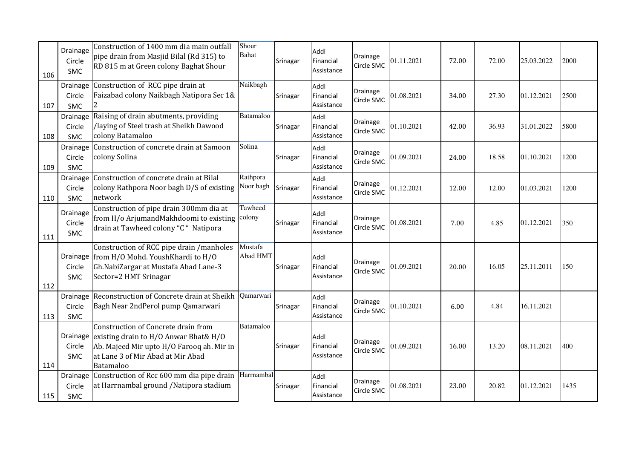| 106 | Drainage<br>Circle<br>SMC        | Construction of 1400 mm dia main outfall<br>pipe drain from Masjid Bilal (Rd 315) to<br>RD 815 m at Green colony Baghat Shour                                               | Shour<br>Bahat        | Srinagar | Addl<br>Financial<br>Assistance | Drainage<br>Circle SMC        | 01.11.2021 | 72.00 | 72.00 | 25.03.2022 | 2000 |
|-----|----------------------------------|-----------------------------------------------------------------------------------------------------------------------------------------------------------------------------|-----------------------|----------|---------------------------------|-------------------------------|------------|-------|-------|------------|------|
| 107 | Drainage<br>Circle<br>SMC        | Construction of RCC pipe drain at<br>Faizabad colony Naikbagh Natipora Sec 1&<br>2                                                                                          | Naikbagh              | Srinagar | Addl<br>Financial<br>Assistance | Drainage<br>Circle SMC        | 01.08.2021 | 34.00 | 27.30 | 01.12.2021 | 2500 |
| 108 | Drainage<br>Circle<br>SMC        | Raising of drain abutments, providing<br>/laying of Steel trash at Sheikh Dawood<br>colony Batamaloo                                                                        | Batamaloo             | Srinagar | Addl<br>Financial<br>Assistance | Drainage<br>Circle SMC        | 01.10.2021 | 42.00 | 36.93 | 31.01.2022 | 5800 |
| 109 | Drainage<br>Circle<br>SMC        | Construction of concrete drain at Samoon<br>colony Solina                                                                                                                   | Solina                | Srinagar | Addl<br>Financial<br>Assistance | <b>Drainage</b><br>Circle SMC | 01.09.2021 | 24.00 | 18.58 | 01.10.2021 | 1200 |
| 110 | <b>Drainage</b><br>Circle<br>SMC | Construction of concrete drain at Bilal<br>colony Rathpora Noor bagh D/S of existing<br>network                                                                             | Rathpora<br>Noor bagh | Srinagar | Addl<br>Financial<br>Assistance | Drainage<br>Circle SMC        | 01.12.2021 | 12.00 | 12.00 | 01.03.2021 | 1200 |
| 111 | Drainage<br>Circle<br>SMC        | Construction of pipe drain 300mm dia at<br>from H/o ArjumandMakhdoomi to existing colony<br>drain at Tawheed colony "C " Natipora                                           | Tawheed               | Srinagar | Addl<br>Financial<br>Assistance | Drainage<br>Circle SMC        | 01.08.2021 | 7.00  | 4.85  | 01.12.2021 | 350  |
| 112 | Circle<br>SMC                    | Construction of RCC pipe drain /manholes<br>Drainage from H/O Mohd. YoushKhardi to H/O<br>Gh.NabiZargar at Mustafa Abad Lane-3<br>Sector=2 HMT Srinagar                     | Mustafa<br>Abad HMT   | Srinagar | Addl<br>Financial<br>Assistance | Drainage<br>Circle SMC        | 01.09.2021 | 20.00 | 16.05 | 25.11.2011 | 150  |
| 113 | Circle<br><b>SMC</b>             | Drainage Reconstruction of Concrete drain at Sheikh<br>Bagh Near 2ndPerol pump Qamarwari                                                                                    | Qamarwari             | Srinagar | Addl<br>Financial<br>Assistance | Drainage<br>Circle SMC        | 01.10.2021 | 6.00  | 4.84  | 16.11.2021 |      |
| 114 | Drainage<br>Circle<br>SMC        | Construction of Concrete drain from<br>existing drain to H/O Anwar Bhat& H/O<br>Ab. Majeed Mir upto H/O Farooq ah. Mir in<br>at Lane 3 of Mir Abad at Mir Abad<br>Batamaloo | Batamaloo             | Srinagar | Addl<br>Financial<br>Assistance | Drainage<br>Circle SMC        | 01.09.2021 | 16.00 | 13.20 | 08.11.2021 | 400  |
| 115 | Drainage<br>Circle<br><b>SMC</b> | Construction of Rcc 600 mm dia pipe drain Harmambal<br>at Harrnambal ground /Natipora stadium                                                                               |                       | Srinagar | Addl<br>Financial<br>Assistance | Drainage<br>Circle SMC        | 01.08.2021 | 23.00 | 20.82 | 01.12.2021 | 1435 |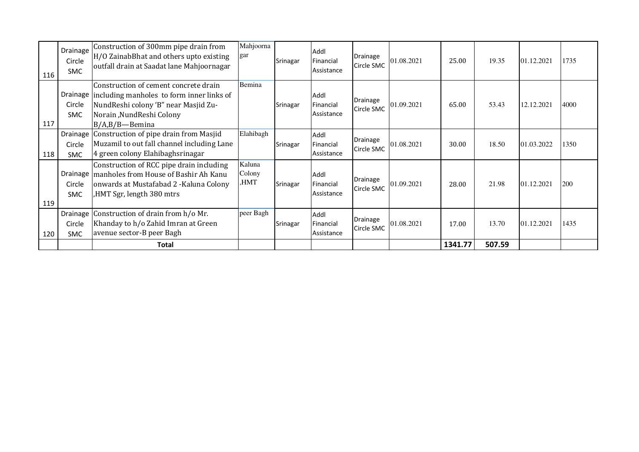| 116 | Drainage<br>Circle<br>SMC. | Construction of 300mm pipe drain from<br>H/O ZainabBhat and others upto existing<br>outfall drain at Saadat lane Mahjoornagar                                                        | Mahjoorna<br>gar         | Srinagar | Addl<br>Financial<br>Assistance | Drainage<br>Circle SMC | 01.08.2021 | 25.00   | 19.35  | 01.12.2021 | 1735 |
|-----|----------------------------|--------------------------------------------------------------------------------------------------------------------------------------------------------------------------------------|--------------------------|----------|---------------------------------|------------------------|------------|---------|--------|------------|------|
| 117 | Circle<br><b>SMC</b>       | Construction of cement concrete drain<br>Drainage including manholes to form inner links of<br>NundReshi colony 'B" near Masjid Zu-<br>Norain, NundReshi Colony<br>$B/A,B/B$ -Bemina | Bemina                   | Srinagar | Addl<br>Financial<br>Assistance | Drainage<br>Circle SMC | 01.09.2021 | 65.00   | 53.43  | 12.12.2021 | 4000 |
| 118 | Circle<br><b>SMC</b>       | Drainage   Construction of pipe drain from Masjid<br>Muzamil to out fall channel including Lane<br>4 green colony Elahibaghsrinagar                                                  | Elahibagh                | Srinagar | Addl<br>Financial<br>Assistance | Drainage<br>Circle SMC | 01.08.2021 | 30.00   | 18.50  | 01.03.2022 | 1350 |
| 119 | Circle<br><b>SMC</b>       | Construction of RCC pipe drain including<br>Drainage   manholes from House of Bashir Ah Kanu<br>onwards at Mustafabad 2 - Kaluna Colony<br>HMT Sgr, length 380 mtrs                  | Kaluna<br>Colony<br>HMT, | Srinagar | Addl<br>Financial<br>Assistance | Drainage<br>Circle SMC | 01.09.2021 | 28.00   | 21.98  | 01.12.2021 | 200  |
| 120 | Circle<br>SMC              | Drainage Construction of drain from h/o Mr.<br>Khanday to h/o Zahid Imran at Green<br>avenue sector-B peer Bagh                                                                      | peer Bagh                | Srinagar | Addl<br>Financial<br>Assistance | Drainage<br>Circle SMC | 01.08.2021 | 17.00   | 13.70  | 01.12.2021 | 1435 |
|     |                            | Total                                                                                                                                                                                |                          |          |                                 |                        |            | 1341.77 | 507.59 |            |      |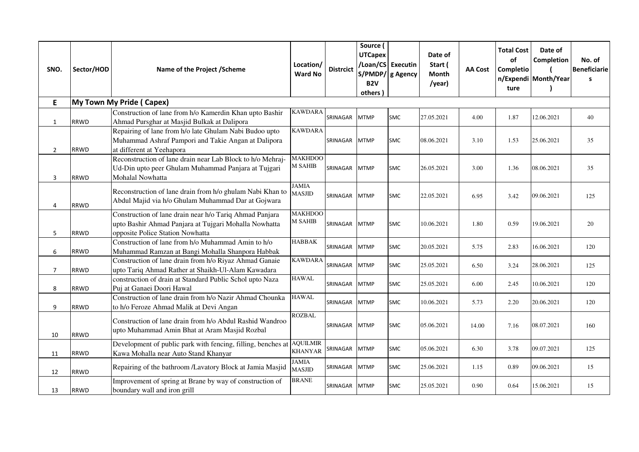| SNO.           | Sector/HOD  | Name of the Project /Scheme                                                                                                                          | Location/<br><b>Ward No</b>      | <b>Distrcict</b> | Source (<br><b>UTCapex</b><br>B <sub>2V</sub><br>others) | /Loan/CS Executin<br>S/PMDP/ g Agency | Date of<br>Start (<br>Month<br>/year) | <b>AA Cost</b> | <b>Total Cost</b><br>of<br>Completio<br>ture | Date of<br>Completion<br>n/Expendi Month/Year | No. of<br>Beneficiarie<br>$\mathbf{s}$ |
|----------------|-------------|------------------------------------------------------------------------------------------------------------------------------------------------------|----------------------------------|------------------|----------------------------------------------------------|---------------------------------------|---------------------------------------|----------------|----------------------------------------------|-----------------------------------------------|----------------------------------------|
| E.             |             | My Town My Pride (Capex)                                                                                                                             |                                  |                  |                                                          |                                       |                                       |                |                                              |                                               |                                        |
| $\mathbf{1}$   | <b>RRWD</b> | Construction of lane from h/o Kamerdin Khan upto Bashir<br>Ahmad Pursghar at Masjid Bulkak at Dalipora                                               | <b>KAWDARA</b>                   | SRINAGAR         | <b>MTMP</b>                                              | <b>SMC</b>                            | 27.05.2021                            | 4.00           | 1.87                                         | 12.06.2021                                    | 40                                     |
| $\overline{2}$ | <b>RRWD</b> | Repairing of lane from h/o late Ghulam Nabi Budoo upto<br>Muhammad Ashraf Pampori and Takie Angan at Dalipora<br>at different at Yeehapora           | <b>KAWDARA</b>                   | SRINAGAR MTMP    |                                                          | <b>SMC</b>                            | 08.06.2021                            | 3.10           | 1.53                                         | 25.06.2021                                    | 35                                     |
| 3              | <b>RRWD</b> | Reconstruction of lane drain near Lab Block to h/o Mehraj-<br>Ud-Din upto peer Ghulam Muhammad Panjara at Tujgari<br>Mohalal Nowhatta                | <b>MAKHDOO</b><br>M SAHIB        | <b>SRINAGAR</b>  | <b>MTMP</b>                                              | SMC                                   | 26.05.2021                            | 3.00           | 1.36                                         | 08.06.2021                                    | 35                                     |
| 4              | <b>RRWD</b> | Reconstruction of lane drain from h/o ghulam Nabi Khan to<br>Abdul Majid via h/o Ghulam Muhammad Dar at Gojwara                                      | <b>JAMIA</b><br><b>MASJID</b>    | SRINAGAR         | <b>MTMP</b>                                              | <b>SMC</b>                            | 22.05.2021                            | 6.95           | 3.42                                         | 09.06.2021                                    | 125                                    |
| 5              | <b>RRWD</b> | Construction of lane drain near h/o Tariq Ahmad Panjara<br>upto Bashir Ahmad Panjara at Tujgari Mohalla Nowhatta<br>opposite Police Station Nowhatta | <b>MAKHDOO</b><br><b>M SAHIB</b> | SRINAGAR         | <b>MTMP</b>                                              | <b>SMC</b>                            | 10.06.2021                            | 1.80           | 0.59                                         | 19.06.2021                                    | 20                                     |
| 6              | <b>RRWD</b> | Construction of lane from h/o Muhammad Amin to h/o<br>Muhammad Ramzan at Bangi Mohalla Shanpora Habbak                                               | <b>HABBAK</b>                    | SRINAGAR         | <b>MTMP</b>                                              | SMC                                   | 20.05.2021                            | 5.75           | 2.83                                         | 16.06.2021                                    | 120                                    |
| $\overline{7}$ | <b>RRWD</b> | Construction of lane drain from h/o Riyaz Ahmad Ganaie<br>upto Tariq Ahmad Rather at Shaikh-Ul-Alam Kawadara                                         | <b>KAWDARA</b>                   | SRINAGAR         | <b>MTMP</b>                                              | SMC                                   | 25.05.2021                            | 6.50           | 3.24                                         | 28.06.2021                                    | 125                                    |
| 8              | <b>RRWD</b> | construction of drain at Standard Public Schol upto Naza<br>Puj at Ganaei Doori Hawal                                                                | <b>HAWAL</b>                     | SRINAGAR         | <b>MTMP</b>                                              | <b>SMC</b>                            | 25.05.2021                            | 6.00           | 2.45                                         | 10.06.2021                                    | 120                                    |
| 9              | <b>RRWD</b> | Construction of lane drain from h/o Nazir Ahmad Chounka<br>to h/o Feroze Ahmad Malik at Devi Angan                                                   | <b>HAWAL</b>                     | SRINAGAR         | <b>MTMP</b>                                              | <b>SMC</b>                            | 10.06.2021                            | 5.73           | 2.20                                         | 20.06.2021                                    | 120                                    |
| 10             | <b>RRWD</b> | Construction of lane drain from h/o Abdul Rashid Wandroo<br>upto Muhammad Amin Bhat at Aram Masjid Rozbal                                            | <b>ROZBAL</b>                    | SRINAGAR         | <b>MTMP</b>                                              | SMC                                   | 05.06.2021                            | 14.00          | 7.16                                         | 08.07.2021                                    | 160                                    |
| 11             | <b>RRWD</b> | Development of public park with fencing, filling, benches at AQUILMIR<br>Kawa Mohalla near Auto Stand Khanyar                                        | <b>KHANYAR</b>                   | SRINAGAR         | <b>MTMP</b>                                              | <b>SMC</b>                            | 05.06.2021                            | 6.30           | 3.78                                         | 09.07.2021                                    | 125                                    |
| 12             | <b>RRWD</b> | Repairing of the bathroom /Lavatory Block at Jamia Masjid                                                                                            | JAMIA<br><b>MASJID</b>           | SRINAGAR         | <b>MTMP</b>                                              | <b>SMC</b>                            | 25.06.2021                            | 1.15           | 0.89                                         | 09.06.2021                                    | 15                                     |
| 13             | <b>RRWD</b> | Improvement of spring at Brane by way of construction of<br>boundary wall and iron grill                                                             | <b>BRANE</b>                     | SRINAGAR         | <b>MTMP</b>                                              | SMC                                   | 25.05.2021                            | 0.90           | 0.64                                         | 15.06.2021                                    | 15                                     |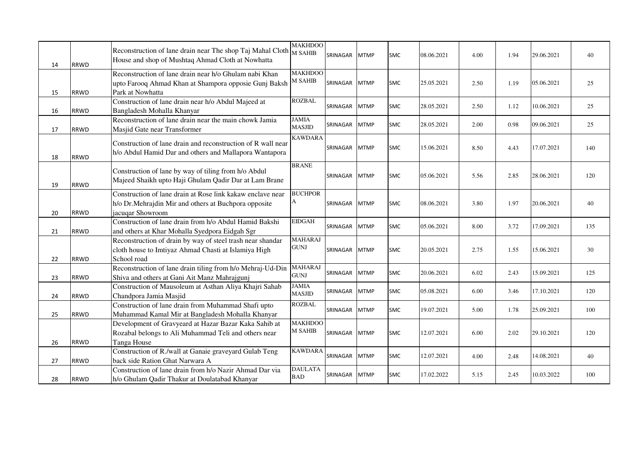| 14 | <b>RRWD</b> | Reconstruction of lane drain near The shop Taj Mahal Cloth M SAHIB<br>House and shop of Mushtaq Ahmad Cloth at Nowhatta                 | <b>MAKHDOO</b>                          | SRINAGAR      | <b>MTMP</b> | <b>SMC</b> | 08.06.2021 | 4.00 | 1.94 | 29.06.2021 | 40  |
|----|-------------|-----------------------------------------------------------------------------------------------------------------------------------------|-----------------------------------------|---------------|-------------|------------|------------|------|------|------------|-----|
| 15 | <b>RRWD</b> | Reconstruction of lane drain near h/o Ghulam nabi Khan<br>upto Farooq Ahmad Khan at Shampora opposie Gunj Baksh<br>Park at Nowhatta     | <b>MAKHDOO</b><br>M SAHIB               | SRINAGAR      | <b>MTMP</b> | <b>SMC</b> | 25.05.2021 | 2.50 | 1.19 | 05.06.2021 | 25  |
| 16 | <b>RRWD</b> | Construction of lane drain near h/o Abdul Majeed at<br>Bangladesh Mohalla Khanyar                                                       | <b>ROZBAL</b>                           | SRINAGAR      | <b>MTMP</b> | <b>SMC</b> | 28.05.2021 | 2.50 | 1.12 | 10.06.2021 | 25  |
| 17 | <b>RRWD</b> | Reconstruction of lane drain near the main chowk Jamia<br>Masjid Gate near Transformer                                                  | <b>JAMIA</b><br><b>MASJID</b>           | SRINAGAR      | <b>MTMP</b> | <b>SMC</b> | 28.05.2021 | 2.00 | 0.98 | 09.06.2021 | 25  |
| 18 | <b>RRWD</b> | Construction of lane drain and reconstruction of R wall near<br>h/o Abdul Hamid Dar and others and Mallapora Wantapora                  | <b>KAWDARA</b>                          | SRINAGAR      | <b>MTMP</b> | <b>SMC</b> | 15.06.2021 | 8.50 | 4.43 | 17.07.2021 | 140 |
| 19 | <b>RRWD</b> | Construction of lane by way of tiling from h/o Abdul<br>Majeed Shaikh upto Haji Ghulam Qadir Dar at Lam Brane                           | <b>BRANE</b>                            | SRINAGAR      | <b>MTMP</b> | <b>SMC</b> | 05.06.2021 | 5.56 | 2.85 | 28.06.2021 | 120 |
| 20 | <b>RRWD</b> | Construction of lane drain at Rose link kakaw enclave near<br>h/o Dr. Mehrajdin Mir and others at Buchpora opposite<br>jacuqar Showroom | <b>BUCHPOR</b><br>A                     | SRINAGAR      | <b>MTMP</b> | <b>SMC</b> | 08.06.2021 | 3.80 | 1.97 | 20.06.2021 | 40  |
| 21 | <b>RRWD</b> | Construction of lane drain from h/o Abdul Hamid Bakshi<br>and others at Khar Mohalla Syedpora Eidgah Sgr                                | <b>EIDGAH</b>                           | SRINAGAR      | <b>MTMP</b> | <b>SMC</b> | 05.06.2021 | 8.00 | 3.72 | 17.09.2021 | 135 |
| 22 | <b>RRWD</b> | Reconstruction of drain by way of steel trash near shandar<br>cloth house to Imtiyaz Ahmad Chasti at Islamiya High<br>School road       | <b>MAHARAJ</b><br><b>GUNJ</b>           | SRINAGAR      | <b>MTMP</b> | <b>SMC</b> | 20.05.2021 | 2.75 | 1.55 | 15.06.2021 | 30  |
| 23 | <b>RRWD</b> | Reconstruction of lane drain tiling from h/o Mehraj-Ud-Din<br>Shiva and others at Gani Ait Manz Mahrajgunj                              | <b>MAHARAJ</b><br>$\operatorname{GUNJ}$ | SRINAGAR      | <b>MTMP</b> | <b>SMC</b> | 20.06.2021 | 6.02 | 2.43 | 15.09.2021 | 125 |
| 24 | <b>RRWD</b> | Construction of Mausoleum at Asthan Aliya Khajri Sahab<br>Chandpora Jamia Masjid                                                        | <b>JAMIA</b><br><b>MASJID</b>           | SRINAGAR      | <b>MTMP</b> | <b>SMC</b> | 05.08.2021 | 6.00 | 3.46 | 17.10.2021 | 120 |
| 25 | <b>RRWD</b> | Construction of lane drain from Muhammad Shafi upto<br>Muhammad Kamal Mir at Bangladesh Mohalla Khanyar                                 | <b>ROZBAL</b>                           | SRINAGAR      | <b>MTMP</b> | <b>SMC</b> | 19.07.2021 | 5.00 | 1.78 | 25.09.2021 | 100 |
| 26 | <b>RRWD</b> | Development of Gravyeard at Hazar Bazar Kaka Sahib at<br>Rozabal belongs to Ali Muhammad Teli and others near<br>Tanga House            | <b>MAKHDOO</b><br><b>M SAHIB</b>        | SRINAGAR      | <b>MTMP</b> | <b>SMC</b> | 12.07.2021 | 6.00 | 2.02 | 29.10.2021 | 120 |
| 27 | <b>RRWD</b> | Construction of R./wall at Ganaie graveyard Gulab Teng<br>back side Ration Ghat Narwara A                                               | <b>KAWDARA</b>                          | SRINAGAR      | <b>MTMP</b> | <b>SMC</b> | 12.07.2021 | 4.00 | 2.48 | 14.08.2021 | 40  |
| 28 | <b>RRWD</b> | Construction of lane drain from h/o Nazir Ahmad Dar via<br>h/o Ghulam Qadir Thakur at Doulatabad Khanyar                                | <b>DAULATA</b><br><b>BAD</b>            | SRINAGAR MTMP |             | <b>SMC</b> | 17.02.2022 | 5.15 | 2.45 | 10.03.2022 | 100 |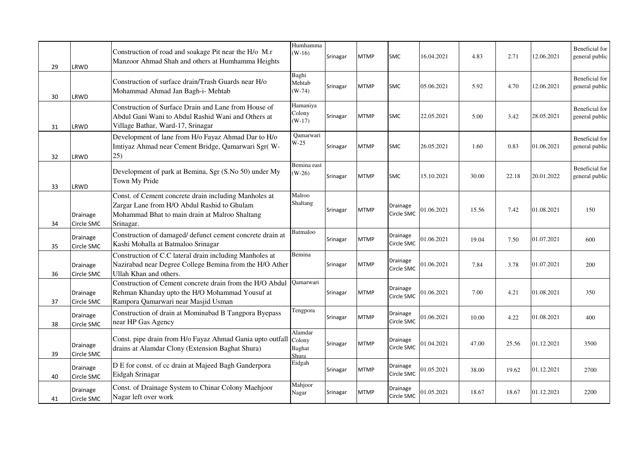| 29 | LRWD                   | Construction of road and soakage Pit near the H/o M.r<br>Manzoor Ahmad Shah and others at Humhamma Heights                                                          | Humhamma<br>$(W-16)$                 | Srinagar | <b>MTMP</b> | <b>SMC</b>             | 16.04.2021 | 4.83  | 2.71  | 12.06.2021 | Beneficial for<br>general public |
|----|------------------------|---------------------------------------------------------------------------------------------------------------------------------------------------------------------|--------------------------------------|----------|-------------|------------------------|------------|-------|-------|------------|----------------------------------|
| 30 | LRWD                   | Construction of surface drain/Trash Guards near H/o<br>Mohammad Ahmad Jan Bagh-i- Mehtab                                                                            | Baghi<br>Mehtab<br>$(W-74)$          | Srinagar | <b>MTMP</b> | <b>SMC</b>             | 05.06.2021 | 5.92  | 4.70  | 12.06.2021 | Beneficial for<br>general public |
| 31 | LRWD                   | Construction of Surface Drain and Lane from House of<br>Abdul Gani Wani to Abdul Rashid Wani and Others at<br>Village Bathar, Ward-17, Srinagar                     | Hamaniya<br>Colony<br>$(W-17)$       | Srinagar | <b>MTMP</b> | <b>SMC</b>             | 22.05.2021 | 5.00  | 3.42  | 28.05.2021 | Beneficial for<br>general public |
| 32 | LRWD                   | Development of lane from H/o Fayaz Ahmad Dar to H/o<br>Imtiyaz Ahmad near Cement Bridge, Qamarwari Sgr(W-<br>25)                                                    | Qamarwari<br>$W-25$                  | Srinagar | <b>MTMP</b> | <b>SMC</b>             | 26.05.2021 | 1.60  | 0.83  | 01.06.2021 | Beneficial for<br>general public |
| 33 | LRWD                   | Development of park at Bemina, Sgr (S.No 50) under My<br>Town My Pride                                                                                              | Bemina east<br>$(W-26)$              | Srinagar | <b>MTMP</b> | <b>SMC</b>             | 15.10.2021 | 30.00 | 22.18 | 20.01.2022 | Beneficial for<br>general public |
| 34 | Drainage<br>Circle SMC | Const. of Cement concrete drain including Manholes at<br>Zargar Lane from H/O Abdul Rashid to Ghulam<br>Mohammad Bhat to main drain at Malroo Shaltang<br>Srinagar. | Malroo<br>Shaltang                   | Srinagar | <b>MTMP</b> | Drainage<br>Circle SMC | 01.06.2021 | 15.56 | 7.42  | 01.08.2021 | 150                              |
| 35 | Drainage<br>Circle SMC | Construction of damaged/ defunct cement concrete drain at<br>Kashi Mohalla at Batmaloo Srinagar                                                                     | Batmaloo                             | Srinagar | <b>MTMP</b> | Drainage<br>Circle SMC | 01.06.2021 | 19.04 | 7.50  | 01.07.2021 | 600                              |
| 36 | Drainage<br>Circle SMC | Construction of C.C lateral drain including Manholes at<br>Nazirabad near Degree College Bemina from the H/O Ather<br>Ullah Khan and others.                        | Bemina                               | Srinagar | <b>MTMP</b> | Drainage<br>Circle SMC | 01.06.2021 | 7.84  | 3.78  | 01.07.2021 | 200                              |
| 37 | Drainage<br>Circle SMC | Construction of Cement concrete drain from the H/O Abdul<br>Rehman Khanday upto the H/O Mohammad Yousuf at<br>Rampora Qamarwari near Masjid Usman                   | Qamarwari                            | Srinagar | <b>MTMP</b> | Drainage<br>Circle SMC | 01.06.2021 | 7.00  | 4.21  | 01.08.2021 | 350                              |
| 38 | Drainage<br>Circle SMC | Construction of drain at Mominabad B Tangpora Byepass<br>near HP Gas Agency                                                                                         | Tengpora                             | Srinagar | <b>MTMP</b> | Drainage<br>Circle SMC | 01.06.2021 | 10.00 | 4.22  | 01.08.2021 | 400                              |
| 39 | Drainage<br>Circle SMC | Const. pipe drain from H/o Fayaz Ahmad Gania upto outfall<br>drains at Alamdar Clony (Extension Baghat Shura)                                                       | Alamdar<br>Colony<br>Baghat<br>Shura | Srinagar | <b>MTMP</b> | Drainage<br>Circle SMC | 01.04.2021 | 47.00 | 25.56 | 01.12.2021 | 3500                             |
| 40 | Drainage<br>Circle SMC | D E for const. of cc drain at Majeed Bagh Ganderpora<br>Eidgah Srinagar                                                                                             | Eidgah                               | Srinagar | <b>MTMP</b> | Drainage<br>Circle SMC | 01.05.2021 | 38.00 | 19.62 | 01.12.2021 | 2700                             |
| 41 | Drainage<br>Circle SMC | Const. of Drainage System to Chinar Colony Maehjoor<br>Nagar left over work                                                                                         | Mahjoor<br>Nagar                     | Srinagar | <b>MTMP</b> | Drainage<br>Circle SMC | 01.05.2021 | 18.67 | 18.67 | 01.12.2021 | 2200                             |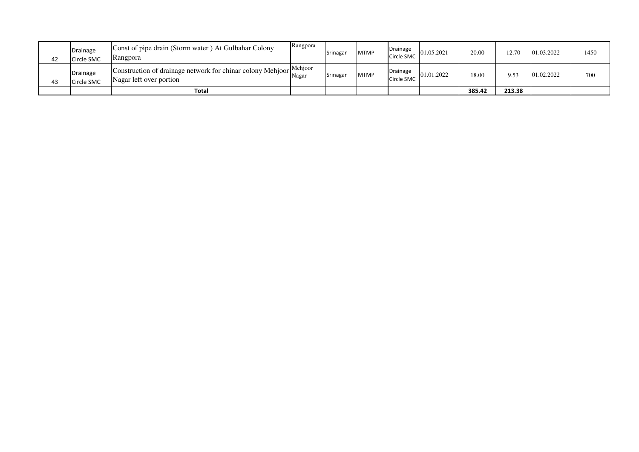| 42 | Drainage<br>Circle SMC | Const of pipe drain (Storm water) At Gulbahar Colony<br>Rangpora                              | Rangpora | Srinagar | <b>MTMP</b> | Drainage<br>Circle SMC | 01.05.2021 | 20.00  | 12.70  | 01.03.2022 | 1450 |
|----|------------------------|-----------------------------------------------------------------------------------------------|----------|----------|-------------|------------------------|------------|--------|--------|------------|------|
| 43 | Drainage<br>Circle SMC | Construction of drainage network for chinar colony Mehjoor Mehjoor<br>Nagar left over portion | Nagar    | Srinagar | <b>MTMP</b> | Drainage<br>Circle SMC | 01.01.2022 | 18.00  | 9.53   | 01.02.2022 | 700  |
|    |                        | Total                                                                                         |          |          |             |                        |            | 385.42 | 213.38 |            |      |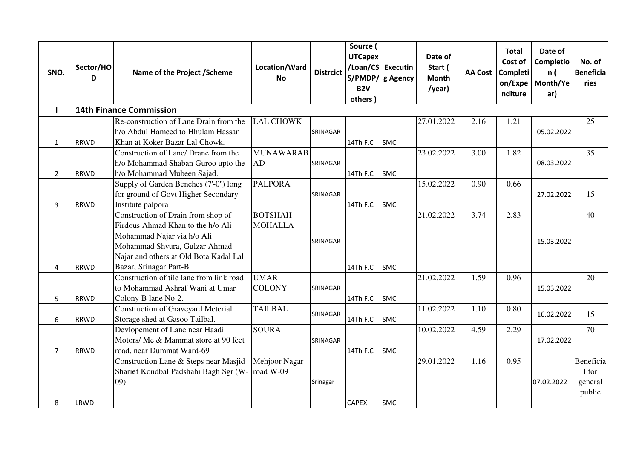| SNO.           | Sector/HO<br>D | Name of the Project / Scheme                                                                                                                                                                               | Location/Ward<br>No              | <b>Distrcict</b> | Source (<br><b>UTCapex</b><br>B <sub>2V</sub><br>others | /Loan/CS Executin<br>S/PMDP/ g Agency | Date of<br>Start (<br>Month<br>/year) |      | <b>Total</b><br>Cost of<br>AA Cost   Completi<br>on/Expe<br>nditure | Date of<br>Completio<br>n (<br>Month/Ye<br>ar) | No. of<br><b>Beneficia</b><br>ries      |
|----------------|----------------|------------------------------------------------------------------------------------------------------------------------------------------------------------------------------------------------------------|----------------------------------|------------------|---------------------------------------------------------|---------------------------------------|---------------------------------------|------|---------------------------------------------------------------------|------------------------------------------------|-----------------------------------------|
|                |                | <b>14th Finance Commission</b>                                                                                                                                                                             |                                  |                  |                                                         |                                       |                                       |      |                                                                     |                                                |                                         |
| $\mathbf{1}$   | <b>RRWD</b>    | Re-construction of Lane Drain from the<br>h/o Abdul Hameed to Hhulam Hassan<br>Khan at Koker Bazar Lal Chowk.                                                                                              | <b>LAL CHOWK</b>                 | SRINAGAR         | 14Th F.C                                                | <b>SMC</b>                            | 27.01.2022                            | 2.16 | 1.21                                                                | 05.02.2022                                     | 25                                      |
| $\overline{2}$ | <b>RRWD</b>    | Construction of Lane/ Drane from the<br>h/o Mohammad Shaban Guroo upto the<br>h/o Mohammad Mubeen Sajad.                                                                                                   | <b>MUNAWARAB</b><br>AD           | SRINAGAR         | 14Th F.C                                                | <b>SMC</b>                            | 23.02.2022                            | 3.00 | 1.82                                                                | 08.03.2022                                     | 35                                      |
| 3              | <b>RRWD</b>    | Supply of Garden Benches (7'-0") long<br>for ground of Govt Higher Secondary<br>Institute palpora                                                                                                          | <b>PALPORA</b>                   | SRINAGAR         | 14Th F.C                                                | <b>SMC</b>                            | 15.02.2022                            | 0.90 | 0.66                                                                | 27.02.2022                                     | 15                                      |
| $\overline{4}$ | <b>RRWD</b>    | Construction of Drain from shop of<br>Firdous Ahmad Khan to the h/o Ali<br>Mohammad Najar via h/o Ali<br>Mohammad Shyura, Gulzar Ahmad<br>Najar and others at Old Bota Kadal Lal<br>Bazar, Srinagar Part-B | <b>BOTSHAH</b><br><b>MOHALLA</b> | SRINAGAR         | 14Th F.C                                                | <b>SMC</b>                            | 21.02.2022                            | 3.74 | 2.83                                                                | 15.03.2022                                     | 40                                      |
| 5              | <b>RRWD</b>    | Construction of tile lane from link road<br>to Mohammad Ashraf Wani at Umar<br>Colony-B lane No-2.                                                                                                         | <b>UMAR</b><br><b>COLONY</b>     | SRINAGAR         | 14Th F.C                                                | <b>SMC</b>                            | 21.02.2022                            | 1.59 | 0.96                                                                | 15.03.2022                                     | 20                                      |
| 6              | <b>RRWD</b>    | <b>Construction of Graveyard Meterial</b><br>Storage shed at Gasoo Tailbal.                                                                                                                                | <b>TAILBAL</b>                   | SRINAGAR         | 14Th F.C                                                | <b>SMC</b>                            | 11.02.2022                            | 1.10 | 0.80                                                                | 16.02.2022                                     | 15                                      |
| $\overline{7}$ | <b>RRWD</b>    | Devlopement of Lane near Haadi<br>Motors/ Me & Mammat store at 90 feet<br>road, near Dummat Ward-69                                                                                                        | <b>SOURA</b>                     | SRINAGAR         | 14Th F.C                                                | <b>SMC</b>                            | 10.02.2022                            | 4.59 | 2.29                                                                | 17.02.2022                                     | 70                                      |
| 8              | LRWD           | Construction Lane & Steps near Masjid<br>Sharief Kondbal Padshahi Bagh Sgr (W-<br>09)                                                                                                                      | Mehjoor Nagar<br>road W-09       | Srinagar         | <b>CAPEX</b>                                            | <b>SMC</b>                            | 29.01.2022                            | 1.16 | 0.95                                                                | 07.02.2022                                     | Beneficia<br>1 for<br>general<br>public |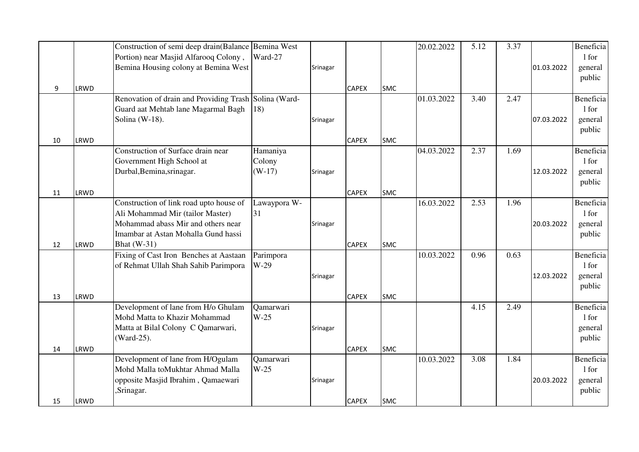|          |              | Construction of semi deep drain(Balance Bemina West                                                                                                      |                                |          |                              |                          | 20.02.2022 | 5.12 | 3.37 |            | Beneficia                               |
|----------|--------------|----------------------------------------------------------------------------------------------------------------------------------------------------------|--------------------------------|----------|------------------------------|--------------------------|------------|------|------|------------|-----------------------------------------|
|          |              | Portion) near Masjid Alfarooq Colony,<br>Bemina Housing colony at Bemina West                                                                            | Ward-27                        | Srinagar |                              |                          |            |      |      | 01.03.2022 | 1 for<br>general                        |
| 9        | LRWD         |                                                                                                                                                          |                                |          | <b>CAPEX</b>                 | <b>SMC</b>               |            |      |      |            | public                                  |
|          |              | Renovation of drain and Providing Trash Solina (Ward-<br>Guard aat Mehtab lane Magarmal Bagh<br>Solina (W-18).                                           | 18)                            | Srinagar |                              |                          | 01.03.2022 | 3.40 | 2.47 | 07.03.2022 | Beneficia<br>1 for<br>general<br>public |
| 10       | LRWD         |                                                                                                                                                          |                                |          | <b>CAPEX</b>                 | <b>SMC</b>               |            |      |      |            |                                         |
| 11       | LRWD         | Construction of Surface drain near<br>Government High School at<br>Durbal, Bemina, srinagar.                                                             | Hamaniya<br>Colony<br>$(W-17)$ | Srinagar | <b>CAPEX</b>                 | <b>SMC</b>               | 04.03.2022 | 2.37 | 1.69 | 12.03.2022 | Beneficia<br>1 for<br>general<br>public |
|          |              | Construction of link road upto house of<br>Ali Mohammad Mir (tailor Master)<br>Mohammad abass Mir and others near<br>Imambar at Astan Mohalla Gund hassi | Lawaypora W-<br>31             | Srinagar |                              |                          | 16.03.2022 | 2.53 | 1.96 | 20.03.2022 | Beneficia<br>1 for<br>general<br>public |
| 12<br>13 | LRWD<br>LRWD | <b>Bhat</b> (W-31)<br>Fixing of Cast Iron Benches at Aastaan<br>of Rehmat Ullah Shah Sahib Parimpora                                                     | Parimpora<br>$W-29$            | Srinagar | <b>CAPEX</b><br><b>CAPEX</b> | <b>SMC</b><br><b>SMC</b> | 10.03.2022 | 0.96 | 0.63 | 12.03.2022 | Beneficia<br>1 for<br>general<br>public |
| 14       | LRWD         | Development of lane from H/o Ghulam<br>Mohd Matta to Khazir Mohammad<br>Matta at Bilal Colony C Qamarwari,<br>(Ward-25).                                 | Qamarwari<br>$W-25$            | Srinagar | <b>CAPEX</b>                 | <b>SMC</b>               |            | 4.15 | 2.49 |            | Beneficia<br>1 for<br>general<br>public |
| 15       | LRWD         | Development of lane from H/Ogulam<br>Mohd Malla toMukhtar Ahmad Malla<br>opposite Masjid Ibrahim, Qamaewari<br>Srinagar.                                 | Qamarwari<br>$W-25$            | Srinagar | <b>CAPEX</b>                 | <b>SMC</b>               | 10.03.2022 | 3.08 | 1.84 | 20.03.2022 | Beneficia<br>1 for<br>general<br>public |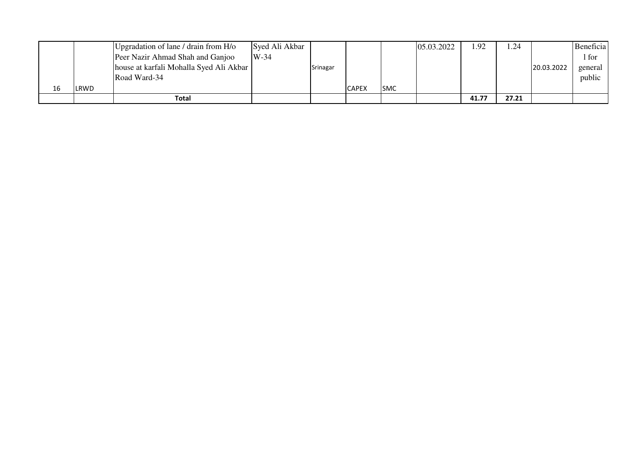|    |      | Upgradation of lane / drain from H/o    | Syed Ali Akbar |          |              |            | 05.03.2022 | 1.92  | 1.24  |            | Beneficia |
|----|------|-----------------------------------------|----------------|----------|--------------|------------|------------|-------|-------|------------|-----------|
|    |      | Peer Nazir Ahmad Shah and Ganjoo        | $W-34$         |          |              |            |            |       |       |            | 1 for     |
|    |      | house at karfali Mohalla Syed Ali Akbar |                | Srinagar |              |            |            |       |       | 20.03.2022 | general   |
|    |      | Road Ward-34                            |                |          |              |            |            |       |       |            | public    |
| 16 | LRWD |                                         |                |          | <b>CAPEX</b> | <b>SMC</b> |            |       |       |            |           |
|    |      | Total                                   |                |          |              |            |            | 41.77 | 27.21 |            |           |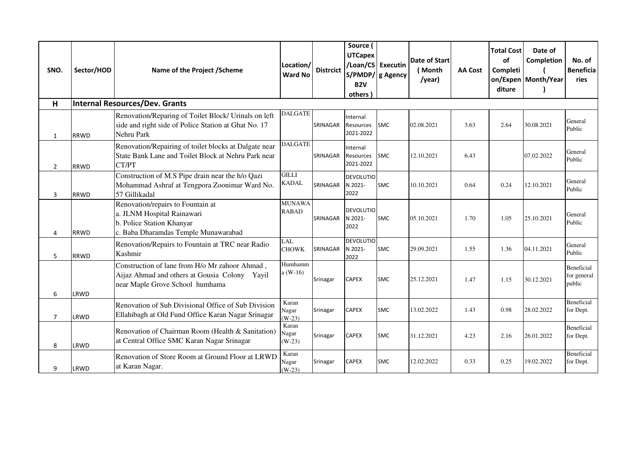| SNO.           | Sector/HOD  | Name of the Project / Scheme                                                                                                         | Location/<br><b>Ward No</b>   | <b>Distrcict</b> | Source (<br><b>UTCapex</b><br>S/PMDP/ g Agency<br>B <sub>2V</sub><br>others | /Loan/CS Executin | <b>Date of Start</b><br>(Month<br>/year) | <b>AA Cost</b> | <b>Total Cost</b><br>of<br>Completi<br>diture | Date of<br>Completion<br>on/Expen Month/Year | No. of<br><b>Beneficia</b><br>ries  |
|----------------|-------------|--------------------------------------------------------------------------------------------------------------------------------------|-------------------------------|------------------|-----------------------------------------------------------------------------|-------------------|------------------------------------------|----------------|-----------------------------------------------|----------------------------------------------|-------------------------------------|
| н              |             | <b>Internal Resources/Dev. Grants</b>                                                                                                |                               |                  |                                                                             |                   |                                          |                |                                               |                                              |                                     |
| $\mathbf{1}$   | <b>RRWD</b> | Renovation/Reparing of Toilet Block/ Urinals on left<br>side and right side of Police Station at Ghat No. 17<br>Nehru Park           | <b>DALGATE</b>                | SRINAGAR         | Internal<br><b>Resources</b><br>2021-2022                                   | <b>SMC</b>        | 02.08.2021                               | 3.63           | 2.64                                          | 30.08.2021                                   | General<br>Public                   |
| $\overline{2}$ | <b>RRWD</b> | Renovation/Repairing of toilet blocks at Dalgate near<br>State Bank Lane and Toilet Block at Nehru Park near<br>CT/PT                | <b>DALGATE</b>                | SRINAGAR         | Internal<br>Resources<br>2021-2022                                          | SMC               | 12.10.2021                               | 6.43           |                                               | 07.02.2022                                   | General<br>Public                   |
| 3              | <b>RRWD</b> | Construction of M.S Pipe drain near the h/o Qazi<br>Mohammad Ashraf at Tengpora Zoonimar Ward No.<br>57 Gillikadal                   | <b>GILLI</b><br><b>KADAL</b>  | SRINAGAR         | <b>DEVOLUTIO</b><br>N 2021-<br>2022                                         | <b>SMC</b>        | 10.10.2021                               | 0.64           | 0.24                                          | 12.10.2021                                   | General<br>Public                   |
| 4              | <b>RRWD</b> | Renovation/repairs to Fountain at<br>a. JLNM Hospital Rainawari<br>b. Police Station Khanyar<br>c. Baba Dharamdas Temple Munawarabad | <b>MUNAWA</b><br><b>RABAD</b> | SRINAGAR         | <b>DEVOLUTIO</b><br>N 2021-<br>2022                                         | <b>SMC</b>        | 05.10.2021                               | 1.70           | 1.05                                          | 25.10.2021                                   | General<br>Public                   |
| 5              | <b>RRWD</b> | Renovation/Repairs to Fountain at TRC near Radio<br>Kashmir                                                                          | LAL<br><b>CHOWK</b>           | SRINAGAR         | <b>DEVOLUTIO</b><br>N 2021-<br>2022                                         | <b>SMC</b>        | 29.09.2021                               | 1.55           | 1.36                                          | 04.11.2021                                   | General<br>Public                   |
| 6              | LRWD        | Construction of lane from H/o Mr zahoor Ahmad,<br>Aijaz Ahmad and others at Gousia Colony Yayil<br>near Maple Grove School humhama   | Humhamm<br>$a(W-16)$          | Srinagar         | <b>CAPEX</b>                                                                | <b>SMC</b>        | 25.12.2021                               | 1.47           | 1.15                                          | 30.12.2021                                   | Beneficial<br>for general<br>public |
| $\overline{7}$ | LRWD        | Renovation of Sub Divisional Office of Sub Division<br>Ellahibagh at Old Fund Office Karan Nagar Srinagar                            | Karan<br>Nagar<br>$(W-23)$    | Srinagar         | <b>CAPEX</b>                                                                | <b>SMC</b>        | 13.02.2022                               | 1.43           | 0.98                                          | 28.02.2022                                   | <b>Beneficial</b><br>for Dept.      |
| 8              | LRWD        | Renovation of Chairman Room (Health & Sanitation)<br>at Central Office SMC Karan Nagar Srinagar                                      | Karan<br>Nagar<br>$(W-23)$    | Srinagar         | <b>CAPEX</b>                                                                | <b>SMC</b>        | 31.12.2021                               | 4.23           | 2.16                                          | 26.01.2022                                   | <b>Beneficial</b><br>for Dept.      |
| 9              | LRWD        | Renovation of Store Room at Ground Floor at LRWD<br>at Karan Nagar.                                                                  | Karan<br>Nagar<br>$(W-23)$    | Srinagar         | <b>CAPEX</b>                                                                | <b>SMC</b>        | 12.02.2022                               | 0.33           | 0.25                                          | 19.02.2022                                   | Beneficial<br>for Dept.             |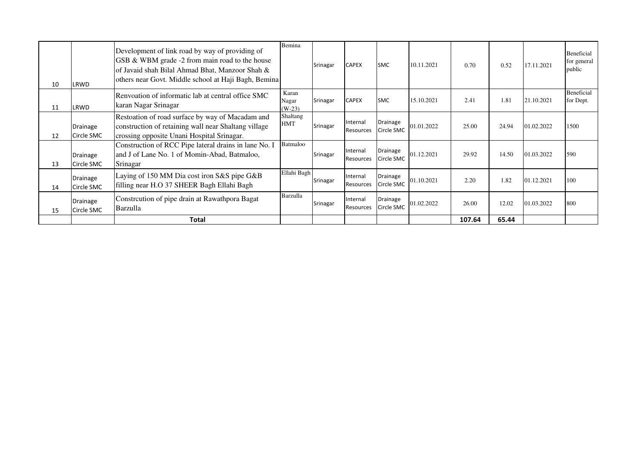| 10 | LRWD                          | Development of link road by way of providing of<br>GSB & WBM grade -2 from main road to the house<br>of Javaid shah Bilal Ahmad Bhat, Manzoor Shah &<br>others near Govt. Middle school at Haji Bagh, Bemina | Bemina                     | Srinagar | <b>CAPEX</b>                 | <b>SMC</b>             | 10.11.2021 | 0.70   | 0.52  | 17.11.2021 | Beneficial<br>for general<br>public |
|----|-------------------------------|--------------------------------------------------------------------------------------------------------------------------------------------------------------------------------------------------------------|----------------------------|----------|------------------------------|------------------------|------------|--------|-------|------------|-------------------------------------|
| 11 | LRWD                          | Renvoation of informatic lab at central office SMC<br>karan Nagar Srinagar                                                                                                                                   | Karan<br>Nagar<br>$(W-23)$ | Srinagar | <b>CAPEX</b>                 | <b>SMC</b>             | 15.10.2021 | 2.41   | 1.81  | 21.10.2021 | Beneficial<br>for Dept.             |
| 12 | Drainage<br>Circle SMC        | Restoation of road surface by way of Macadam and<br>construction of retaining wall near Shaltang village<br>crossing opposite Unani Hospital Srinagar.                                                       | Shaltang<br><b>HMT</b>     | Srinagar | Internal<br>Resources        | Drainage<br>Circle SMC | 01.01.2022 | 25.00  | 24.94 | 01.02.2022 | 1500                                |
| 13 | Drainage<br>Circle SMC        | Construction of RCC Pipe lateral drains in lane No. I<br>and J of Lane No. 1 of Momin-Abad, Batmaloo,<br>Srinagar                                                                                            | Batmaloo                   | Srinagar | Internal<br>Resources        | Drainage<br>Circle SMC | 01.12.2021 | 29.92  | 14.50 | 01.03.2022 | 590                                 |
| 14 | <b>Drainage</b><br>Circle SMC | Laying of 150 MM Dia cost iron S&S pipe G&B<br>filling near H.O 37 SHEER Bagh Ellahi Bagh                                                                                                                    | Ellahi Bagh                | Srinagar | Internal<br>Resources        | Drainage<br>Circle SMC | 01.10.2021 | 2.20   | 1.82  | 01.12.2021 | 100                                 |
| 15 | Drainage<br>Circle SMC        | Constrcution of pipe drain at Rawathpora Bagat<br>Barzulla                                                                                                                                                   | Barzulla                   | Srinagar | Internal<br><b>Resources</b> | Drainage<br>Circle SMC | 01.02.2022 | 26.00  | 12.02 | 01.03.2022 | 800                                 |
|    |                               | <b>Total</b>                                                                                                                                                                                                 |                            |          |                              |                        |            | 107.64 | 65.44 |            |                                     |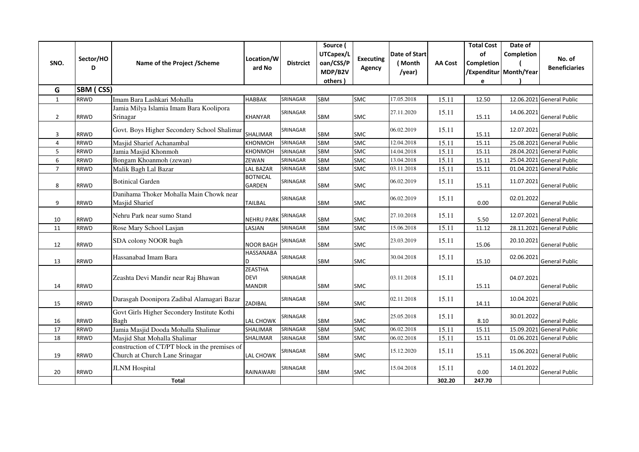| SNO.           | Sector/HO<br>D   | Name of the Project / Scheme                                                     | Location/W<br>ard No                           | <b>Distrcict</b> | Source (<br>UTCapex/L<br>oan/CSS/P<br>MDP/B2V | <b>Executing</b><br>Agency | Date of Start<br>(Month<br>/year) | <b>AA Cost</b> | <b>Total Cost</b><br>of<br>Completion | Date of<br>Completion<br>/Expenditur Month/Year | No. of<br><b>Beneficiaries</b> |
|----------------|------------------|----------------------------------------------------------------------------------|------------------------------------------------|------------------|-----------------------------------------------|----------------------------|-----------------------------------|----------------|---------------------------------------|-------------------------------------------------|--------------------------------|
| G              | <b>SBM (CSS)</b> |                                                                                  |                                                |                  | others)                                       |                            |                                   |                | e                                     |                                                 |                                |
| $\mathbf{1}$   | <b>RRWD</b>      | Imam Bara Lashkari Mohalla                                                       | <b>HABBAK</b>                                  | SRINAGAR         | SBM                                           | SMC                        | 17.05.2018                        | 15.11          | 12.50                                 | 12.06.2021                                      | <b>General Public</b>          |
| $\overline{2}$ | <b>RRWD</b>      | Jamia Milya Islamia Imam Bara Koolipora<br>Srinagar                              | <b>KHANYAR</b>                                 | SRINAGAR         | SBM                                           | <b>SMC</b>                 | 27.11.2020                        | 15.11          | 15.11                                 | 14.06.2021                                      | General Public                 |
| 3              | <b>RRWD</b>      | Govt. Boys Higher Secondery School Shalimar                                      | SHALIMAR                                       | SRINAGAR         | SBM                                           | <b>SMC</b>                 | 06.02.2019                        | 15.11          | 15.11                                 | 12.07.2021                                      | <b>General Public</b>          |
| $\overline{4}$ | <b>RRWD</b>      | Masjid Sharief Achanambal                                                        | <b>KHONMOH</b>                                 | SRINAGAR         | SBM                                           | <b>SMC</b>                 | 12.04.2018                        | 15.11          | 15.11                                 | 25.08.2021                                      | <b>General Public</b>          |
| 5              | <b>RRWD</b>      | Jamia Masjid Khonmoh                                                             | <b>KHONMOH</b>                                 | SRINAGAR         | SBM                                           | SMC                        | 14.04.2018                        | 15.11          | 15.11                                 | 28.04.2021                                      | <b>General Public</b>          |
| 6              | <b>RRWD</b>      | Bongam Khoanmoh (zewan)                                                          | ZEWAN                                          | SRINAGAR         | <b>SBM</b>                                    | <b>SMC</b>                 | 13.04.2018                        | 15.11          | 15.11                                 | 25.04.2021                                      | <b>General Public</b>          |
| $\overline{7}$ | <b>RRWD</b>      | Malik Bagh Lal Bazar                                                             | <b>LAL BAZAR</b>                               | SRINAGAR         | SBM                                           | <b>SMC</b>                 | 03.11.2018                        | 15.11          | 15.11                                 |                                                 | 01.04.2021 General Public      |
| 8              | <b>RRWD</b>      | <b>Botinical Garden</b>                                                          | <b>BOTNICAL</b><br>GARDEN                      | SRINAGAR         | SBM                                           | <b>SMC</b>                 | 06.02.2019                        | 15.11          | 15.11                                 | 11.07.2021                                      | <b>General Public</b>          |
| 9              | <b>RRWD</b>      | Danihama Thoker Mohalla Main Chowk near<br>Masjid Sharief                        | <b>TAILBAL</b>                                 | SRINAGAR         | <b>SBM</b>                                    | <b>SMC</b>                 | 06.02.2019                        | 15.11          | 0.00                                  | 02.01.2022                                      | <b>General Public</b>          |
| 10             | <b>RRWD</b>      | Nehru Park near sumo Stand                                                       | <b>NEHRU PARK</b>                              | SRINAGAR         | SBM                                           | <b>SMC</b>                 | 27.10.2018                        | 15.11          | 5.50                                  | 12.07.2021                                      | <b>General Public</b>          |
| 11             | <b>RRWD</b>      | Rose Mary School Lasjan                                                          | LASJAN                                         | SRINAGAR         | SBM                                           | <b>SMC</b>                 | 15.06.2018                        | 15.11          | 11.12                                 | 28.11.2021                                      | <b>General Public</b>          |
| 12             | <b>RRWD</b>      | SDA colony NOOR bagh                                                             | <b>NOOR BAGH</b>                               | SRINAGAR         | SBM                                           | <b>SMC</b>                 | 23.03.2019                        | 15.11          | 15.06                                 | 20.10.2021                                      | <b>General Public</b>          |
| 13             | <b>RRWD</b>      | Hassanabad Imam Bara                                                             | <b>HASSANABA</b>                               | SRINAGAR         | SBM                                           | SMC                        | 30.04.2018                        | 15.11          | 15.10                                 | 02.06.2021                                      | <b>General Public</b>          |
| 14             | <b>RRWD</b>      | Zeashta Devi Mandir near Raj Bhawan                                              | <b>ZEASTHA</b><br><b>DEVI</b><br><b>MANDIR</b> | SRINAGAR         | SBM                                           | <b>SMC</b>                 | 03.11.2018                        | 15.11          | 15.11                                 | 04.07.2021                                      | General Public                 |
| 15             | <b>RRWD</b>      | Darasgah Doonipora Zadibal Alamagari Bazar                                       | ZADIBAL                                        | SRINAGAR         | SBM                                           | <b>SMC</b>                 | 02.11.2018                        | 15.11          | 14.11                                 | 10.04.2021                                      | <b>General Public</b>          |
| 16             | <b>RRWD</b>      | Govt Girls Higher Secondery Institute Kothi<br>Bagh                              | <b>LAL CHOWK</b>                               | SRINAGAR         | SBM                                           | <b>SMC</b>                 | 25.05.2018                        | 15.11          | 8.10                                  | 30.01.2022                                      | <b>General Public</b>          |
| 17             | <b>RRWD</b>      | Jamia Masjid Dooda Mohalla Shalimar                                              | SHALIMAR                                       | SRINAGAR         | SBM                                           | <b>SMC</b>                 | 06.02.2018                        | 15.11          | 15.11                                 | 15.09.2021                                      | <b>General Public</b>          |
| 18             | <b>RRWD</b>      | Masjid Shat Mohalla Shalimar                                                     | SHALIMAR                                       | SRINAGAR         | SBM                                           | SMC                        | 06.02.2018                        | 15.11          | 15.11                                 | 01.06.2021                                      | <b>General Public</b>          |
| 19             | <b>RRWD</b>      | construction of CT/PT block in the premises of<br>Church at Church Lane Srinagar | <b>LAL CHOWK</b>                               | SRINAGAR         | SBM                                           | <b>SMC</b>                 | 15.12.2020                        | 15.11          | 15.11                                 | 15.06.2021                                      | <b>General Public</b>          |
| 20             | <b>RRWD</b>      | <b>JLNM</b> Hospital                                                             | <b>RAINAWARI</b>                               | SRINAGAR         | SBM                                           | <b>SMC</b>                 | 15.04.2018                        | 15.11          | 0.00                                  | 14.01.2022                                      | <b>General Public</b>          |
|                |                  | <b>Total</b>                                                                     |                                                |                  |                                               |                            |                                   | 302.20         | 247.70                                |                                                 |                                |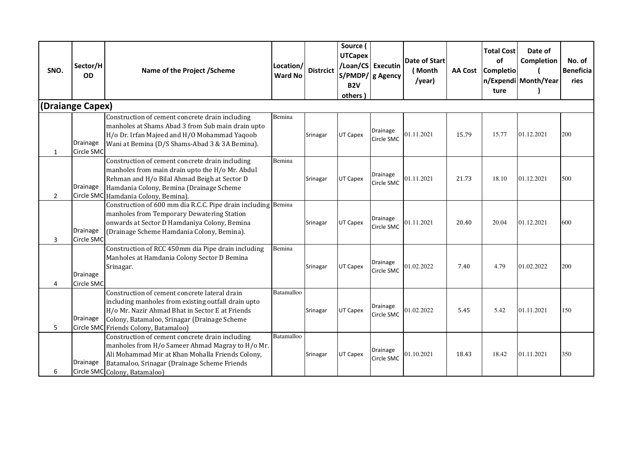| SNO.           | Sector/H<br><b>OD</b>         | Name of the Project / Scheme                                                                                                                                                                                                                     | Location/<br><b>Ward No</b> | <b>Distrcict</b> | Source (<br><b>UTCapex</b><br><b>B2V</b><br>others ) | /Loan/CS Executin<br>S/PMDP/ g Agency | Date of Start<br>(Month<br>/year) | <b>AA Cost</b> | <b>Total Cost</b><br>of<br><b>Completio</b><br>ture | Date of<br>Completion<br>n/Expendi Month/Year | No. of<br><b>Beneficia</b><br>ries |
|----------------|-------------------------------|--------------------------------------------------------------------------------------------------------------------------------------------------------------------------------------------------------------------------------------------------|-----------------------------|------------------|------------------------------------------------------|---------------------------------------|-----------------------------------|----------------|-----------------------------------------------------|-----------------------------------------------|------------------------------------|
|                | (Draiange Capex)              |                                                                                                                                                                                                                                                  |                             |                  |                                                      |                                       |                                   |                |                                                     |                                               |                                    |
| $\mathbf{1}$   | <b>Drainage</b><br>Circle SMC | Construction of cement concrete drain including<br>manholes at Shams Abad 3 from Sub main drain upto<br>H/o Dr. Irfan Majeed and H/O Mohammad Yaqoob<br>Wani at Bemina (D/S Shams-Abad 3 & 3A Bemina).                                           | Bemina                      | Srinagar         | UT Capex                                             | Drainage<br>Circle SMC                | 01.11.2021                        | 15.79          | 15.77                                               | 01.12.2021                                    | 200                                |
| $\overline{2}$ | Drainage                      | Construction of cement concrete drain including<br>manholes from main drain upto the H/o Mr. Abdul<br>Rehman and H/o Bilal Ahmad Beigh at Sector D<br>Hamdania Colony, Bemina (Drainage Scheme<br>Circle SMC Hamdania Colony, Bemina).           | Bemina                      | Srinagar         | UT Capex                                             | Drainage<br>Circle SMC                | 01.11.2021                        | 21.73          | 18.10                                               | 01.12.2021                                    | 500                                |
| 3              | <b>Drainage</b><br>Circle SMC | Construction of 600 mm dia R.C.C. Pipe drain including<br>manholes from Temporary Dewatering Station<br>onwards at Sector D Hamdaniya Colony, Bemina<br>(Drainage Scheme Hamdania Colony, Bemina).                                               | Bemina                      | Srinagar         | <b>UT Capex</b>                                      | Drainage<br>Circle SMC                | 01.11.2021                        | 20.40          | 20.04                                               | 01.12.2021                                    | 600                                |
| 4              | Drainage<br>Circle SMC        | Construction of RCC 450mm dia Pipe drain including<br>Manholes at Hamdania Colony Sector D Bemina<br>Srinagar.                                                                                                                                   | Bemina                      | Srinagar         | UT Capex                                             | Drainage<br>Circle SMC                | 01.02.2022                        | 7.40           | 4.79                                                | 01.02.2022                                    | 200                                |
| 5              | Drainage                      | Construction of cement concrete lateral drain<br>including manholes from existing outfall drain upto<br>H/o Mr. Nazir Ahmad Bhat in Sector E at Friends<br>Colony, Batamaloo, Srinagar (Drainage Scheme<br>Circle SMC Friends Colony, Batamaloo) | Batamalloo                  | Srinagar         | UT Capex                                             | Drainage<br>Circle SMC                | 01.02.2022                        | 5.45           | 5.42                                                | 01.11.2021                                    | 150                                |
| 6              | <b>Drainage</b>               | Construction of cement concrete drain including<br>manholes from H/o Sameer Ahmad Magray to H/o Mr.<br>Ali Mohammad Mir at Khan Mohalla Friends Colony,<br>Batamaloo, Srinagar (Drainage Scheme Friends<br>Circle SMC Colony, Batamaloo)         | Batamalloo                  | Srinagar         | UT Capex                                             | Drainage<br>Circle SMC                | 01.10.2021                        | 18.43          | 18.42                                               | 01.11.2021                                    | 350                                |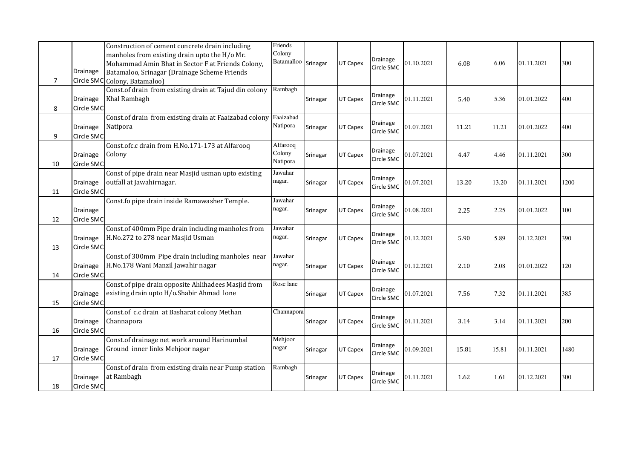| $\overline{7}$ | Drainage<br>Circle SMC        | Construction of cement concrete drain including<br>manholes from existing drain upto the H/o Mr.<br>Mohammad Amin Bhat in Sector F at Friends Colony,<br>Batamaloo, Srinagar (Drainage Scheme Friends<br>Colony, Batamaloo) | Friends<br>Colony<br>Batamalloo | Srinagar | UT Capex | Drainage<br>Circle SMC | 01.10.2021 | 6.08  | 6.06  | 01.11.2021 | 300  |
|----------------|-------------------------------|-----------------------------------------------------------------------------------------------------------------------------------------------------------------------------------------------------------------------------|---------------------------------|----------|----------|------------------------|------------|-------|-------|------------|------|
| 8              | <b>Drainage</b><br>Circle SMC | Const.of drain from existing drain at Tajud din colony<br>Khal Rambagh                                                                                                                                                      | Rambagh                         | Srinagar | UT Capex | Drainage<br>Circle SMC | 01.11.2021 | 5.40  | 5.36  | 01.01.2022 | 400  |
| 9              | <b>Drainage</b><br>Circle SMC | Const.of drain from existing drain at Faaizabad colony<br>Natipora                                                                                                                                                          | Faaizabad<br>Natipora           | Srinagar | UT Capex | Drainage<br>Circle SMC | 01.07.2021 | 11.21 | 11.21 | 01.01.2022 | 400  |
| 10             | <b>Drainage</b><br>Circle SMC | Const.ofc.c drain from H.No.171-173 at Alfarooq<br>Colony                                                                                                                                                                   | Alfarooq<br>Colony<br>Natipora  | Srinagar | UT Capex | Drainage<br>Circle SMC | 01.07.2021 | 4.47  | 4.46  | 01.11.2021 | 300  |
| 11             | <b>Drainage</b><br>Circle SMC | Const of pipe drain near Masjid usman upto existing<br>outfall at Jawahirnagar.                                                                                                                                             | Jawahar<br>nagar.               | Srinagar | UT Capex | Drainage<br>Circle SMC | 01.07.2021 | 13.20 | 13.20 | 01.11.2021 | 1200 |
| 12             | Drainage<br>Circle SMC        | Const.fo pipe drain inside Ramawasher Temple.                                                                                                                                                                               | Jawahar<br>nagar.               | Srinagar | UT Capex | Drainage<br>Circle SMC | 01.08.2021 | 2.25  | 2.25  | 01.01.2022 | 100  |
| 13             | <b>Drainage</b><br>Circle SMC | Const.of 400mm Pipe drain including manholes from<br>H.No.272 to 278 near Masjid Usman                                                                                                                                      | Jawahar<br>nagar.               | Srinagar | UT Capex | Drainage<br>Circle SMC | 01.12.2021 | 5.90  | 5.89  | 01.12.2021 | 390  |
| 14             | <b>Drainage</b><br>Circle SMC | Const.of 300mm Pipe drain including manholes near<br>H.No.178 Wani Manzil Jawahir nagar                                                                                                                                     | Jawahar<br>nagar.               | Srinagar | UT Capex | Drainage<br>Circle SMC | 01.12.2021 | 2.10  | 2.08  | 01.01.2022 | 120  |
| 15             | Drainage<br>Circle SMC        | Const.of pipe drain opposite Ahlihadees Masjid from<br>existing drain upto H/o.Shabir Ahmad lone                                                                                                                            | Rose lane                       | Srinagar | UT Capex | Drainage<br>Circle SMC | 01.07.2021 | 7.56  | 7.32  | 01.11.2021 | 385  |
| 16             | <b>Drainage</b><br>Circle SMC | Const.of c.c drain at Basharat colony Methan<br>Channapora                                                                                                                                                                  | Channapora                      | Srinagar | UT Capex | Drainage<br>Circle SMC | 01.11.2021 | 3.14  | 3.14  | 01.11.2021 | 200  |
| 17             | <b>Drainage</b><br>Circle SMC | Const.of drainage net work around Harinumbal<br>Ground inner links Mehjoor nagar                                                                                                                                            | Mehjoor<br>nagar                | Srinagar | UT Capex | Drainage<br>Circle SMC | 01.09.2021 | 15.81 | 15.81 | 01.11.2021 | 1480 |
| 18             | Drainage<br>Circle SMC        | Const.of drain from existing drain near Pump station<br>at Rambagh                                                                                                                                                          | Rambagh                         | Srinagar | UT Capex | Drainage<br>Circle SMC | 01.11.2021 | 1.62  | 1.61  | 01.12.2021 | 300  |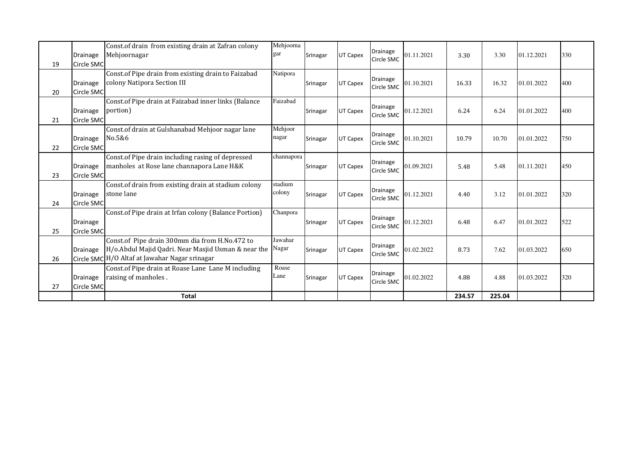| 19 | Drainage<br>Circle SMC        | Const.of drain from existing drain at Zafran colony<br>Mehjoornagar                                                                                           | Mehjoorna<br>gar  | Srinagar | UT Capex | Drainage<br>Circle SMC        | 01.11.2021 | 3.30   | 3.30   | 01.12.2021 | 330 |
|----|-------------------------------|---------------------------------------------------------------------------------------------------------------------------------------------------------------|-------------------|----------|----------|-------------------------------|------------|--------|--------|------------|-----|
| 20 | Drainage<br>Circle SMC        | Const.of Pipe drain from existing drain to Faizabad<br>colony Natipora Section III                                                                            | Natipora          | Srinagar | UT Capex | Drainage<br>Circle SMC        | 01.10.2021 | 16.33  | 16.32  | 01.01.2022 | 400 |
| 21 | <b>Drainage</b><br>Circle SMC | Const.of Pipe drain at Faizabad inner links (Balance<br>portion)                                                                                              | Faizabad          | Srinagar | UT Capex | Drainage<br>Circle SMC        | 01.12.2021 | 6.24   | 6.24   | 01.01.2022 | 400 |
| 22 | <b>Drainage</b><br>Circle SMC | Const.of drain at Gulshanabad Mehjoor nagar lane<br>No.5&6                                                                                                    | Mehjoor<br>nagar  | Srinagar | UT Capex | Drainage<br>Circle SMC        | 01.10.2021 | 10.79  | 10.70  | 01.01.2022 | 750 |
| 23 | <b>Drainage</b><br>Circle SMC | Const.of Pipe drain including rasing of depressed<br>manholes at Rose lane channapora Lane H&K                                                                | channapora        | Srinagar | UT Capex | <b>Drainage</b><br>Circle SMC | 01.09.2021 | 5.48   | 5.48   | 01.11.2021 | 450 |
| 24 | Drainage<br>Circle SMC        | Const.of drain from existing drain at stadium colony<br>stone lane                                                                                            | stadium<br>colony | Srinagar | UT Capex | Drainage<br>Circle SMC        | 01.12.2021 | 4.40   | 3.12   | 01.01.2022 | 320 |
| 25 | <b>Drainage</b><br>Circle SMC | Const.of Pipe drain at Irfan colony (Balance Portion)                                                                                                         | Chanpora          | Srinagar | UT Capex | Drainage<br>Circle SMC        | 01.12.2021 | 6.48   | 6.47   | 01.01.2022 | 522 |
| 26 | Drainage                      | Const.of Pipe drain 300mm dia from H.No.472 to<br>H/o.Abdul Majid Qadri. Near Masjid Usman & near the Nagar<br>Circle SMC H/O Altaf at Jawahar Nagar srinagar | Jawahar           | Srinagar | UT Capex | Drainage<br>Circle SMC        | 01.02.2022 | 8.73   | 7.62   | 01.03.2022 | 650 |
| 27 | <b>Drainage</b><br>Circle SMC | Const.of Pipe drain at Roase Lane Lane M including<br>raising of manholes.                                                                                    | Roase<br>Lane     | Srinagar | UT Capex | Drainage<br>Circle SMC        | 01.02.2022 | 4.88   | 4.88   | 01.03.2022 | 320 |
|    |                               | <b>Total</b>                                                                                                                                                  |                   |          |          |                               |            | 234.57 | 225.04 |            |     |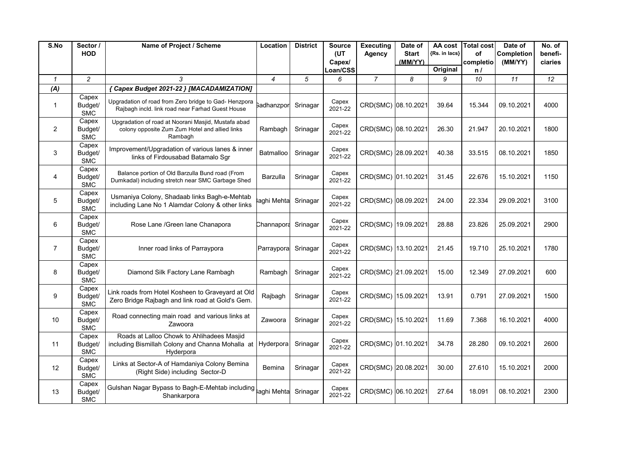| S.No            | Sector /                       | Name of Project / Scheme                                                                                              | Location                 | <b>District</b> | <b>Source</b>      | <b>Executing</b>    | Date of      | AA cost       | <b>Total cost</b> | Date of    | No. of  |
|-----------------|--------------------------------|-----------------------------------------------------------------------------------------------------------------------|--------------------------|-----------------|--------------------|---------------------|--------------|---------------|-------------------|------------|---------|
|                 | <b>HOD</b>                     |                                                                                                                       |                          |                 | (UT                | Agency              | <b>Start</b> | {Rs. in lacs} | οf                | Completion | benefi- |
|                 |                                |                                                                                                                       |                          |                 | Capex/<br>Loan/CSS |                     | (MM/YY)      | Original      | completio         | (MM/YY)    | ciaries |
| $\mathcal{I}$   | $\overline{c}$                 | 3                                                                                                                     | $\overline{\mathcal{L}}$ | 5               | 6                  | $\overline{7}$      | 8            | 9             | n /<br>10         | 11         | 12      |
| (A)             |                                | { Capex Budget 2021-22 } [MACADAMIZATION]                                                                             |                          |                 |                    |                     |              |               |                   |            |         |
|                 | Capex                          |                                                                                                                       |                          |                 |                    |                     |              |               |                   |            |         |
| $\mathbf{1}$    | Budget/<br><b>SMC</b>          | Upgradation of road from Zero bridge to Gad- Henzpora<br>Rajbagh incld. link road near Farhad Guest House             | <b>Sadhanzpor</b>        | Srinagar        | Capex<br>2021-22   | CRD(SMC) 08.10.2021 |              | 39.64         | 15.344            | 09.10.2021 | 4000    |
| $\overline{2}$  | Capex<br>Budget/<br><b>SMC</b> | Upgradation of road at Noorani Masjid, Mustafa abad<br>colony opposite Zum Zum Hotel and allied links<br>Rambagh      | Rambagh                  | Srinagar        | Capex<br>2021-22   | CRD(SMC) 08.10.2021 |              | 26.30         | 21.947            | 20.10.2021 | 1800    |
| 3               | Capex<br>Budget/<br><b>SMC</b> | Improvement/Upgradation of various lanes & inner<br>links of Firdousabad Batamalo Sgr                                 | Batmalloo                | Srinagar        | Capex<br>2021-22   | CRD(SMC) 28.09.2021 |              | 40.38         | 33.515            | 08.10.2021 | 1850    |
| 4               | Capex<br>Budget/<br><b>SMC</b> | Balance portion of Old Barzulla Bund road (From<br>Dumkadal) including stretch near SMC Garbage Shed                  | <b>Barzulla</b>          | Srinagar        | Capex<br>2021-22   | CRD(SMC) 01.10.2021 |              | 31.45         | 22.676            | 15.10.2021 | 1150    |
| 5               | Capex<br>Budget/<br><b>SMC</b> | Usmaniya Colony, Shadaab links Bagh-e-Mehtab<br>including Lane No 1 Alamdar Colony & other links                      | aghi Mehta               | Srinagar        | Capex<br>2021-22   | CRD(SMC) 08.09.2021 |              | 24.00         | 22.334            | 29.09.2021 | 3100    |
| 6               | Capex<br>Budget/<br><b>SMC</b> | Rose Lane / Green lane Chanapora                                                                                      | Channapora               | Srinagar        | Capex<br>2021-22   | CRD(SMC) 19.09.2021 |              | 28.88         | 23.826            | 25.09.2021 | 2900    |
| $\overline{7}$  | Capex<br>Budget/<br><b>SMC</b> | Inner road links of Parraypora                                                                                        | Parraypora               | Srinagar        | Capex<br>2021-22   | CRD(SMC) 13.10.2021 |              | 21.45         | 19.710            | 25.10.2021 | 1780    |
| 8               | Capex<br>Budget/<br><b>SMC</b> | Diamond Silk Factory Lane Rambagh                                                                                     | Rambagh                  | Srinagar        | Capex<br>2021-22   | CRD(SMC) 21.09.2021 |              | 15.00         | 12.349            | 27.09.2021 | 600     |
| 9               | Capex<br>Budget/<br><b>SMC</b> | Link roads from Hotel Kosheen to Graveyard at Old<br>Zero Bridge Rajbagh and link road at Gold's Gem.                 | Rajbagh                  | Srinagar        | Capex<br>2021-22   | CRD(SMC) 15.09.2021 |              | 13.91         | 0.791             | 27.09.2021 | 1500    |
| 10              | Capex<br>Budget/<br><b>SMC</b> | Road connecting main road and various links at<br>Zawoora                                                             | Zawoora                  | Srinagar        | Capex<br>2021-22   | CRD(SMC) 15.10.2021 |              | 11.69         | 7.368             | 16.10.2021 | 4000    |
| 11              | Capex<br>Budget/<br><b>SMC</b> | Roads at Lalloo Chowk to Ahlihadees Masjid<br>including Bismillah Colony and Channa Mohalla at Hyderpora<br>Hyderpora |                          | Srinagar        | Capex<br>2021-22   | CRD(SMC) 01.10.2021 |              | 34.78         | 28.280            | 09.10.2021 | 2600    |
| 12 <sup>2</sup> | Capex<br>Budget/<br><b>SMC</b> | Links at Sector-A of Hamdaniya Colony Bemina<br>(Right Side) including Sector-D                                       | <b>Bemina</b>            | Srinagar        | Capex<br>2021-22   | CRD(SMC) 20.08.2021 |              | 30.00         | 27.610            | 15.10.2021 | 2000    |
| 13              | Capex<br>Budget/<br><b>SMC</b> | Gulshan Nagar Bypass to Bagh-E-Mehtab including<br>Shankarpora                                                        | aghi Mehta               | Srinagar        | Capex<br>2021-22   | CRD(SMC) 06.10.2021 |              | 27.64         | 18.091            | 08.10.2021 | 2300    |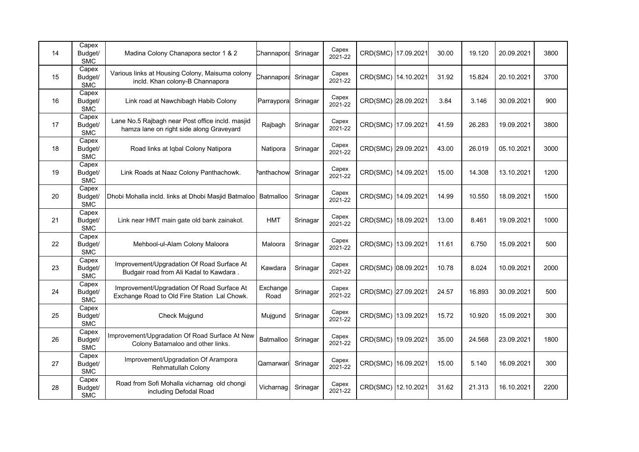| 14 | Capex<br>Budget/<br><b>SMC</b>    | Madina Colony Chanapora sector 1 & 2                                                         | Channapora       | Srinagar | Capex<br>2021-22 | CRD(SMC) 17.09.2021 | 30.00 | 19.120 | 20.09.2021 | 3800 |
|----|-----------------------------------|----------------------------------------------------------------------------------------------|------------------|----------|------------------|---------------------|-------|--------|------------|------|
| 15 | Capex<br>Budget/<br><b>SMC</b>    | Various links at Housing Colony, Maisuma colony<br>incld. Khan colony-B Channapora           | Channapora       | Srinagar | Capex<br>2021-22 | CRD(SMC) 14.10.2021 | 31.92 | 15.824 | 20.10.2021 | 3700 |
| 16 | Capex<br>Budget/<br><b>SMC</b>    | Link road at Nawchibagh Habib Colony                                                         | Parraypora       | Srinagar | Capex<br>2021-22 | CRD(SMC) 28.09.2021 | 3.84  | 3.146  | 30.09.2021 | 900  |
| 17 | Capex<br>Budget/<br><b>SMC</b>    | Lane No.5 Rajbagh near Post office incld. masjid<br>hamza lane on right side along Graveyard | Rajbagh          | Srinagar | Capex<br>2021-22 | CRD(SMC) 17.09.2021 | 41.59 | 26.283 | 19.09.2021 | 3800 |
| 18 | Capex<br>Budget/<br><b>SMC</b>    | Road links at Iqbal Colony Natipora                                                          | Natipora         | Srinagar | Capex<br>2021-22 | CRD(SMC) 29.09.2021 | 43.00 | 26.019 | 05.10.2021 | 3000 |
| 19 | Capex<br>Budget/<br><b>SMC</b>    | Link Roads at Naaz Colony Panthachowk.                                                       | anthachow        | Srinagar | Capex<br>2021-22 | CRD(SMC) 14.09.2021 | 15.00 | 14.308 | 13.10.2021 | 1200 |
| 20 | Capex<br>Budget/<br><b>SMC</b>    | Dhobi Mohalla incld. links at Dhobi Masjid Batmaloo                                          | Batmalloo        | Srinagar | Capex<br>2021-22 | CRD(SMC) 14.09.2021 | 14.99 | 10.550 | 18.09.2021 | 1500 |
| 21 | Capex<br>Budget/<br><b>SMC</b>    | Link near HMT main gate old bank zainakot.                                                   | <b>HMT</b>       | Srinagar | Capex<br>2021-22 | CRD(SMC) 18.09.2021 | 13.00 | 8.461  | 19.09.2021 | 1000 |
| 22 | Capex<br>Budget/<br><b>SMC</b>    | Mehbool-ul-Alam Colony Maloora                                                               | Maloora          | Srinagar | Capex<br>2021-22 | CRD(SMC) 13.09.2021 | 11.61 | 6.750  | 15.09.2021 | 500  |
| 23 | Capex<br>Budget/<br><b>SMC</b>    | Improvement/Upgradation Of Road Surface At<br>Budgair road from Ali Kadal to Kawdara.        | Kawdara          | Srinagar | Capex<br>2021-22 | CRD(SMC) 08.09.2021 | 10.78 | 8.024  | 10.09.2021 | 2000 |
| 24 | $C$ apex<br>Budget/<br><b>SMC</b> | Improvement/Upgradation Of Road Surface At<br>Exchange Road to Old Fire Station Lal Chowk.   | Exchange<br>Road | Srinagar | Capex<br>2021-22 | CRD(SMC) 27.09.2021 | 24.57 | 16.893 | 30.09.2021 | 500  |
| 25 | Capex<br>Budget/<br><b>SMC</b>    | Check Mujgund                                                                                | Mujgund          | Srinagar | Capex<br>2021-22 | CRD(SMC) 13.09.2021 | 15.72 | 10.920 | 15.09.2021 | 300  |
| 26 | Capex<br>Budget/<br><b>SMC</b>    | Improvement/Upgradation Of Road Surface At New<br>Colony Batamaloo and other links.          | Batmalloo        | Srinagar | Capex<br>2021-22 | CRD(SMC) 19.09.2021 | 35.00 | 24.568 | 23.09.2021 | 1800 |
| 27 | Capex<br>Budget/<br><b>SMC</b>    | Improvement/Upgradation Of Arampora<br><b>Rehmatullah Colony</b>                             | Qamarwari        | Srinagar | Capex<br>2021-22 | CRD(SMC) 16.09.2021 | 15.00 | 5.140  | 16.09.2021 | 300  |
| 28 | Capex<br>Budget/<br><b>SMC</b>    | Road from Sofi Mohalla vicharnag old chongi<br>including Defodal Road                        | Vicharnag        | Srinagar | Capex<br>2021-22 | CRD(SMC) 12.10.2021 | 31.62 | 21.313 | 16.10.2021 | 2200 |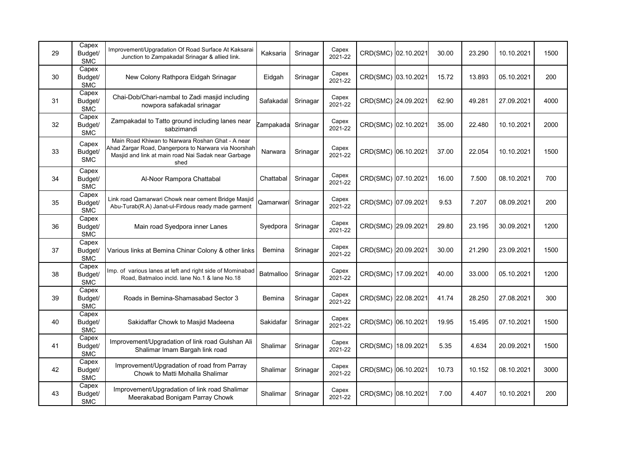| 29 | Capex<br>Budget/<br><b>SMC</b> | Improvement/Upgradation Of Road Surface At Kaksarai<br>Junction to Zampakadal Srinagar & allied link.                                                                   | Kaksaria      | Srinagar | Capex<br>2021-22 | CRD(SMC) 02.10.2021 | 30.00 | 23.290 | 10.10.2021 | 1500 |
|----|--------------------------------|-------------------------------------------------------------------------------------------------------------------------------------------------------------------------|---------------|----------|------------------|---------------------|-------|--------|------------|------|
| 30 | Capex<br>Budget/<br><b>SMC</b> | New Colony Rathpora Eidgah Srinagar                                                                                                                                     | Eidgah        | Srinagar | Capex<br>2021-22 | CRD(SMC) 03.10.2021 | 15.72 | 13.893 | 05.10.2021 | 200  |
| 31 | Capex<br>Budget/<br><b>SMC</b> | Chai-Dob/Chari-nambal to Zadi masjid including<br>nowpora safakadal srinagar                                                                                            | Safakadal     | Srinagar | Capex<br>2021-22 | CRD(SMC) 24.09.2021 | 62.90 | 49.281 | 27.09.2021 | 4000 |
| 32 | Capex<br>Budget/<br><b>SMC</b> | Zampakadal to Tatto ground including lanes near<br>sabzimandi                                                                                                           | Zampakada     | Srinagar | Capex<br>2021-22 | CRD(SMC) 02.10.2021 | 35.00 | 22.480 | 10.10.2021 | 2000 |
| 33 | Capex<br>Budget/<br><b>SMC</b> | Main Road Khiwan to Narwara Roshan Ghat - A near<br>Ahad Zargar Road, Dangerpora to Narwara via Noorshah<br>Masjid and link at main road Nai Sadak near Garbage<br>shed | Narwara       | Srinagar | Capex<br>2021-22 | CRD(SMC) 06.10.2021 | 37.00 | 22.054 | 10.10.2021 | 1500 |
| 34 | Capex<br>Budget/<br><b>SMC</b> | Al-Noor Rampora Chattabal                                                                                                                                               | Chattabal     | Srinagar | Capex<br>2021-22 | CRD(SMC) 07.10.2021 | 16.00 | 7.500  | 08.10.2021 | 700  |
| 35 | Capex<br>Budget/<br><b>SMC</b> | Link road Qamarwari Chowk near cement Bridge Masjid<br>Abu-Turab(R.A) Janat-ul-Firdous ready made garment                                                               | Qamarwari     | Srinagar | Capex<br>2021-22 | CRD(SMC) 07.09.2021 | 9.53  | 7.207  | 08.09.2021 | 200  |
| 36 | Capex<br>Budget/<br><b>SMC</b> | Main road Syedpora inner Lanes                                                                                                                                          | Syedpora      | Srinagar | Capex<br>2021-22 | CRD(SMC) 29.09.2021 | 29.80 | 23.195 | 30.09.2021 | 1200 |
| 37 | Capex<br>Budget/<br><b>SMC</b> | Various links at Bemina Chinar Colony & other links                                                                                                                     | <b>Bemina</b> | Srinagar | Capex<br>2021-22 | CRD(SMC) 20.09.2021 | 30.00 | 21.290 | 23.09.2021 | 1500 |
| 38 | Capex<br>Budget/<br><b>SMC</b> | Imp. of various lanes at left and right side of Mominabad<br>Road, Batmaloo incld. lane No.1 & lane No.18                                                               | Batmalloo     | Srinagar | Capex<br>2021-22 | CRD(SMC) 17.09.2021 | 40.00 | 33.000 | 05.10.2021 | 1200 |
| 39 | Capex<br>Budget/<br><b>SMC</b> | Roads in Bemina-Shamasabad Sector 3                                                                                                                                     | Bemina        | Srinagar | Capex<br>2021-22 | CRD(SMC) 22.08.2021 | 41.74 | 28.250 | 27.08.2021 | 300  |
| 40 | Capex<br>Budget/<br><b>SMC</b> | Sakidaffar Chowk to Masjid Madeena                                                                                                                                      | Sakidafar     | Srinagar | Capex<br>2021-22 | CRD(SMC) 06.10.2021 | 19.95 | 15.495 | 07.10.2021 | 1500 |
| 41 | Capex<br>Budget/<br><b>SMC</b> | Improvement/Upgradation of link road Gulshan Ali<br>Shalimar Imam Bargah link road                                                                                      | Shalimar      | Srinagar | Capex<br>2021-22 | CRD(SMC) 18.09.2021 | 5.35  | 4.634  | 20.09.2021 | 1500 |
| 42 | Capex<br>Budget/<br><b>SMC</b> | Improvement/Upgradation of road from Parray<br>Chowk to Matti Mohalla Shalimar                                                                                          | Shalimar      | Srinagar | Capex<br>2021-22 | CRD(SMC) 06.10.2021 | 10.73 | 10.152 | 08.10.2021 | 3000 |
| 43 | Capex<br>Budget/<br><b>SMC</b> | Improvement/Upgradation of link road Shalimar<br>Meerakabad Bonigam Parray Chowk                                                                                        | Shalimar      | Srinagar | Capex<br>2021-22 | CRD(SMC) 08.10.2021 | 7.00  | 4.407  | 10.10.2021 | 200  |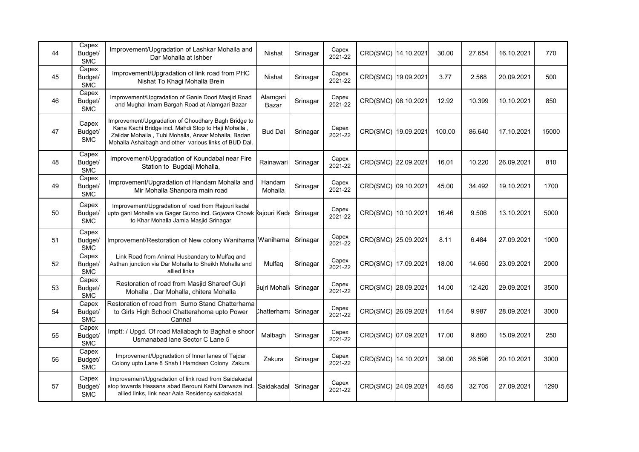| 44 | Capex<br>Budget/<br><b>SMC</b> | Improvement/Upgradation of Lashkar Mohalla and<br>Dar Mohalla at Ishber                                                                                                                                                    | Nishat            | Srinagar | Capex<br>2021-22 | CRD(SMC) 14.10.2021 | 30.00  | 27.654 | 16.10.2021 | 770   |
|----|--------------------------------|----------------------------------------------------------------------------------------------------------------------------------------------------------------------------------------------------------------------------|-------------------|----------|------------------|---------------------|--------|--------|------------|-------|
| 45 | Capex<br>Budget/<br><b>SMC</b> | Improvement/Upgradation of link road from PHC<br>Nishat To Khagi Mohalla Brein                                                                                                                                             | <b>Nishat</b>     | Srinagar | Capex<br>2021-22 | CRD(SMC) 19.09.2021 | 3.77   | 2.568  | 20.09.2021 | 500   |
| 46 | Capex<br>Budget/<br><b>SMC</b> | Improvement/Upgradation of Ganie Doori Masjid Road<br>and Mughal Imam Bargah Road at Alamgari Bazar                                                                                                                        | Alamgari<br>Bazar | Srinagar | Capex<br>2021-22 | CRD(SMC) 08.10.2021 | 12.92  | 10.399 | 10.10.2021 | 850   |
| 47 | Capex<br>Budget/<br><b>SMC</b> | Improvement/Upgradation of Choudhary Bagh Bridge to<br>Kana Kachi Bridge incl. Mahdi Stop to Haji Mohalla,<br>Zaildar Mohalla, Tubi Mohalla, Ansar Mohalla, Badan<br>Mohalla Ashaibagh and other various links of BUD Dal. | <b>Bud Dal</b>    | Srinagar | Capex<br>2021-22 | CRD(SMC) 19.09.2021 | 100.00 | 86.640 | 17.10.2021 | 15000 |
| 48 | Capex<br>Budget/<br><b>SMC</b> | Improvement/Upgradation of Koundabal near Fire<br>Station to Bugdaji Mohalla,                                                                                                                                              | Rainawari         | Srinagar | Capex<br>2021-22 | CRD(SMC) 22.09.2021 | 16.01  | 10.220 | 26.09.2021 | 810   |
| 49 | Capex<br>Budget/<br><b>SMC</b> | Improvement/Upgradation of Handam Mohalla and<br>Mir Mohalla Shanpora main road                                                                                                                                            | Handam<br>Mohalla | Srinagar | Capex<br>2021-22 | CRD(SMC) 09.10.2021 | 45.00  | 34.492 | 19.10.2021 | 1700  |
| 50 | Capex<br>Budget/<br><b>SMC</b> | Improvement/Upgradation of road from Rajouri kadal<br>upto gani Mohalla via Gager Guroo incl. Gojwara Chowk Rajouri Kada<br>to Khar Mohalla Jamia Masjid Srinagar                                                          |                   | Srinagar | Capex<br>2021-22 | CRD(SMC) 10.10.2021 | 16.46  | 9.506  | 13.10.2021 | 5000  |
| 51 | Capex<br>Budget/<br><b>SMC</b> | Improvement/Restoration of New colony Wanihama Wanihama                                                                                                                                                                    |                   | Srinagar | Capex<br>2021-22 | CRD(SMC) 25.09.2021 | 8.11   | 6.484  | 27.09.2021 | 1000  |
| 52 | Capex<br>Budget/<br><b>SMC</b> | Link Road from Animal Husbandary to Mulfaq and<br>Asthan junction via Dar Mohalla to Sheikh Mohalla and<br>allied links                                                                                                    | Mulfaq            | Srinagar | Capex<br>2021-22 | CRD(SMC) 17.09.2021 | 18.00  | 14.660 | 23.09.2021 | 2000  |
| 53 | Capex<br>Budget/<br><b>SMC</b> | Restoration of road from Masjid Shareef Gujri<br>Mohalla, Dar Mohalla, chitera Mohalla                                                                                                                                     | Bujri Mohall      | Srinagar | Capex<br>2021-22 | CRD(SMC) 28.09.2021 | 14.00  | 12.420 | 29.09.2021 | 3500  |
| 54 | Capex<br>Budget/<br><b>SMC</b> | Restoration of road from Sumo Stand Chatterhama<br>to Girls High School Chatterahoma upto Power<br>Cannal                                                                                                                  | Chatterham:       | Srinagar | Capex<br>2021-22 | CRD(SMC) 26.09.2021 | 11.64  | 9.987  | 28.09.2021 | 3000  |
| 55 | Capex<br>Budget/<br><b>SMC</b> | Imptt: / Upgd. Of road Mallabagh to Baghat e shoor<br>Usmanabad lane Sector C Lane 5                                                                                                                                       | Malbagh           | Srinagar | Capex<br>2021-22 | CRD(SMC) 07.09.2021 | 17.00  | 9.860  | 15.09.2021 | 250   |
| 56 | Capex<br>Budget/<br><b>SMC</b> | Improvement/Upgradation of Inner lanes of Tajdar<br>Colony upto Lane 8 Shah I Hamdaan Colony Zakura                                                                                                                        | Zakura            | Srinagar | Capex<br>2021-22 | CRD(SMC) 14.10.2021 | 38.00  | 26.596 | 20.10.2021 | 3000  |
| 57 | Capex<br>Budget/<br><b>SMC</b> | Improvement/Upgradation of link road from Saidakadal<br>stop towards Hassana abad Berouni Kathi Darwaza incl<br>allied links, link near Aala Residency saidakadal,                                                         | Saidakadal        | Srinagar | Capex<br>2021-22 | CRD(SMC) 24.09.2021 | 45.65  | 32.705 | 27.09.2021 | 1290  |